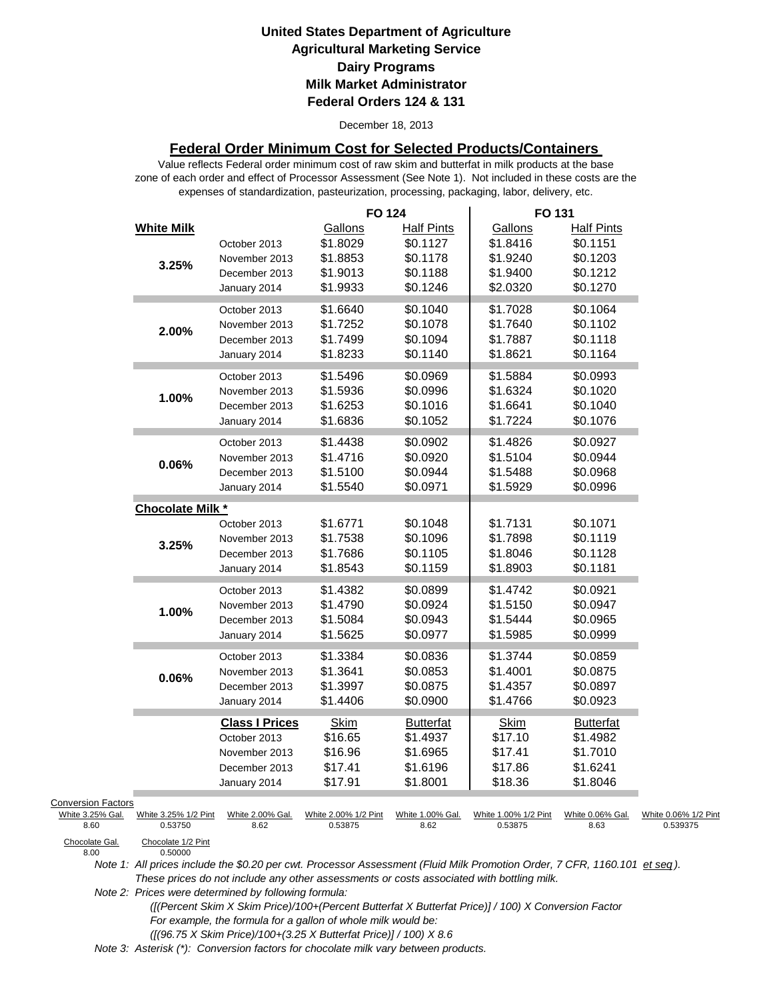December 18, 2013

### **Federal Order Minimum Cost for Selected Products/Containers**

zone of each order and effect of Processor Assessment (See Note 1). Not included in these costs are the expenses of standardization, pasteurization, processing, packaging, labor, delivery, etc. Value reflects Federal order minimum cost of raw skim and butterfat in milk products at the base

|                                               |                         |                       | <b>FO 124</b>        |                   | FO 131               |                   |                      |
|-----------------------------------------------|-------------------------|-----------------------|----------------------|-------------------|----------------------|-------------------|----------------------|
|                                               | <b>White Milk</b>       |                       | Gallons              | <b>Half Pints</b> | Gallons              | <b>Half Pints</b> |                      |
|                                               |                         | October 2013          | \$1.8029             | \$0.1127          | \$1.8416             | \$0.1151          |                      |
|                                               | 3.25%                   | November 2013         | \$1.8853             | \$0.1178          | \$1.9240             | \$0.1203          |                      |
|                                               |                         | December 2013         | \$1.9013             | \$0.1188          | \$1.9400             | \$0.1212          |                      |
|                                               |                         | January 2014          | \$1.9933             | \$0.1246          | \$2.0320             | \$0.1270          |                      |
|                                               |                         | October 2013          | \$1.6640             | \$0.1040          | \$1.7028             | \$0.1064          |                      |
|                                               |                         | November 2013         | \$1.7252             | \$0.1078          | \$1.7640             | \$0.1102          |                      |
|                                               | 2.00%                   | December 2013         | \$1.7499             | \$0.1094          | \$1.7887             | \$0.1118          |                      |
|                                               |                         | January 2014          | \$1.8233             | \$0.1140          | \$1.8621             | \$0.1164          |                      |
|                                               |                         | October 2013          | \$1.5496             | \$0.0969          | \$1.5884             | \$0.0993          |                      |
|                                               |                         | November 2013         | \$1.5936             | \$0.0996          | \$1.6324             | \$0.1020          |                      |
|                                               | 1.00%                   | December 2013         | \$1.6253             | \$0.1016          | \$1.6641             | \$0.1040          |                      |
|                                               |                         |                       | \$1.6836             | \$0.1052          | \$1.7224             | \$0.1076          |                      |
|                                               |                         | January 2014          |                      |                   |                      |                   |                      |
|                                               |                         | October 2013          | \$1.4438             | \$0.0902          | \$1.4826             | \$0.0927          |                      |
|                                               | 0.06%                   | November 2013         | \$1.4716             | \$0.0920          | \$1.5104             | \$0.0944          |                      |
|                                               |                         | December 2013         | \$1.5100             | \$0.0944          | \$1.5488             | \$0.0968          |                      |
|                                               |                         | January 2014          | \$1.5540             | \$0.0971          | \$1.5929             | \$0.0996          |                      |
|                                               | <b>Chocolate Milk *</b> |                       |                      |                   |                      |                   |                      |
|                                               |                         | October 2013          | \$1.6771             | \$0.1048          | \$1.7131             | \$0.1071          |                      |
|                                               | 3.25%                   | November 2013         | \$1.7538             | \$0.1096          | \$1.7898             | \$0.1119          |                      |
|                                               |                         | December 2013         | \$1.7686             | \$0.1105          | \$1.8046             | \$0.1128          |                      |
|                                               |                         | January 2014          | \$1.8543             | \$0.1159          | \$1.8903             | \$0.1181          |                      |
|                                               |                         | October 2013          | \$1.4382             | \$0.0899          | \$1.4742             | \$0.0921          |                      |
|                                               |                         | November 2013         | \$1.4790             | \$0.0924          | \$1.5150             | \$0.0947          |                      |
|                                               | 1.00%                   | December 2013         | \$1.5084             | \$0.0943          | \$1.5444             | \$0.0965          |                      |
|                                               |                         | January 2014          | \$1.5625             | \$0.0977          | \$1.5985             | \$0.0999          |                      |
|                                               |                         | October 2013          | \$1.3384             | \$0.0836          | \$1.3744             | \$0.0859          |                      |
|                                               |                         | November 2013         | \$1.3641             | \$0.0853          | \$1.4001             | \$0.0875          |                      |
|                                               | 0.06%                   | December 2013         | \$1.3997             | \$0.0875          | \$1.4357             | \$0.0897          |                      |
|                                               |                         | January 2014          | \$1.4406             | \$0.0900          | \$1.4766             | \$0.0923          |                      |
|                                               |                         | <b>Class I Prices</b> | <b>Skim</b>          | <b>Butterfat</b>  | <b>Skim</b>          | <b>Butterfat</b>  |                      |
|                                               |                         | October 2013          | \$16.65              | \$1.4937          | \$17.10              | \$1.4982          |                      |
|                                               |                         | November 2013         | \$16.96              | \$1.6965          | \$17.41              | \$1.7010          |                      |
|                                               |                         | December 2013         | \$17.41              | \$1.6196          | \$17.86              | \$1.6241          |                      |
|                                               |                         | January 2014          | \$17.91              | \$1.8001          | \$18.36              | \$1.8046          |                      |
|                                               |                         |                       |                      |                   |                      |                   |                      |
| <b>Conversion Factors</b><br>White 3.25% Gal. | White 3.25% 1/2 Pint    | White 2.00% Gal.      | White 2.00% 1/2 Pint | White 1.00% Gal.  | White 1.00% 1/2 Pint | White 0.06% Gal.  | White 0.06% 1/2 Pint |
| 8.60                                          | 0.53750                 | 8.62                  | 0.53875              | 8.62              | 0.53875              | 8.63              | 0.539375             |
| Chocolate Gal                                 | Chocolate 1/2 Pint      |                       |                      |                   |                      |                   |                      |

Chocolate Gal.<br>8.00

0.50000

*Note 1: All prices include the \$0.20 per cwt. Processor Assessment (Fluid Milk Promotion Order, 7 CFR, 1160.101 et seq ). These prices do not include any other assessments or costs associated with bottling milk.*

*Note 2: Prices were determined by following formula:* 

 *([(Percent Skim X Skim Price)/100+(Percent Butterfat X Butterfat Price)] / 100) X Conversion Factor For example, the formula for a gallon of whole milk would be: ([(96.75 X Skim Price)/100+(3.25 X Butterfat Price)] / 100) X 8.6*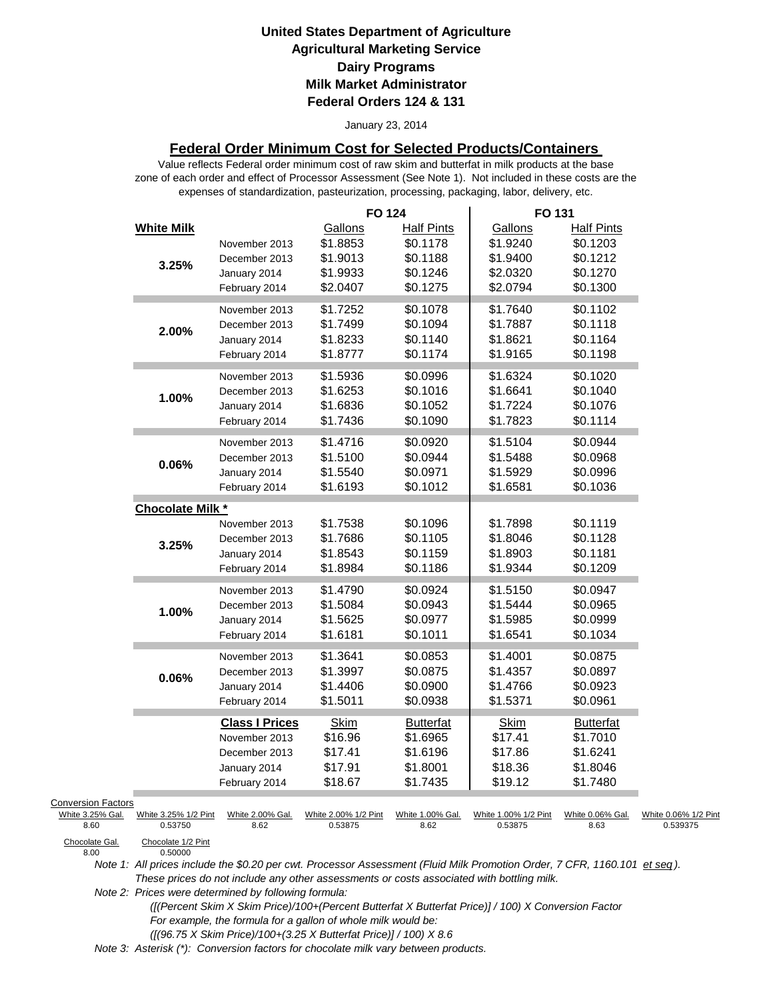#### January 23, 2014

### **Federal Order Minimum Cost for Selected Products/Containers**

zone of each order and effect of Processor Assessment (See Note 1). Not included in these costs are the expenses of standardization, pasteurization, processing, packaging, labor, delivery, etc. Value reflects Federal order minimum cost of raw skim and butterfat in milk products at the base

| <b>White Milk</b><br>Gallons<br><b>Half Pints</b><br>Gallons<br><b>Half Pints</b><br>\$1.8853<br>\$0.1178<br>\$1.9240<br>\$0.1203<br>November 2013<br>\$1.9013<br>\$0.1188<br>\$1.9400<br>\$0.1212<br>December 2013<br>3.25%<br>\$1.9933<br>\$0.1246<br>\$2.0320<br>\$0.1270<br>January 2014<br>\$2.0794<br>\$0.1300<br>\$2.0407<br>\$0.1275<br>February 2014<br>\$1.7252<br>\$0.1078<br>\$1.7640<br>\$0.1102<br>November 2013<br>\$0.1094<br>\$1.7499<br>\$1.7887<br>\$0.1118<br>December 2013<br>2.00%<br>\$1.8233<br>\$0.1140<br>\$0.1164<br>January 2014<br>\$1.8621<br>\$1.8777<br>\$0.1174<br>\$1.9165<br>\$0.1198<br>February 2014<br>\$1.5936<br>\$0.0996<br>\$1.6324<br>\$0.1020<br>November 2013<br>\$0.1016<br>\$0.1040<br>\$1.6253<br>\$1.6641<br>December 2013<br>1.00%<br>\$1.6836<br>\$0.1052<br>\$1.7224<br>\$0.1076<br>January 2014<br>\$1.7436<br>\$0.1090<br>\$1.7823<br>\$0.1114<br>February 2014<br>\$1.4716<br>\$0.0920<br>\$1.5104<br>\$0.0944<br>November 2013<br>\$1.5100<br>\$0.0944<br>\$1.5488<br>\$0.0968<br>December 2013<br>$0.06\%$<br>\$1.5540<br>\$0.0971<br>\$1.5929<br>\$0.0996<br>January 2014<br>\$1.6193<br>\$0.1012<br>\$1.6581<br>\$0.1036<br>February 2014<br><b>Chocolate Milk *</b><br>\$1.7538<br>\$0.1096<br>\$1.7898<br>\$0.1119<br>November 2013<br>\$1.7686<br>\$0.1105<br>\$1.8046<br>\$0.1128<br>December 2013<br>3.25%<br>\$0.1159<br>\$1.8903<br>\$0.1181<br>\$1.8543<br>January 2014<br>\$1.8984<br>\$0.1186<br>\$1.9344<br>\$0.1209<br>February 2014<br>\$1.4790<br>\$0.0924<br>\$1.5150<br>\$0.0947<br>November 2013<br>\$1.5084<br>\$0.0943<br>\$1.5444<br>\$0.0965<br>December 2013<br>1.00%<br>\$1.5625<br>\$0.0977<br>\$1.5985<br>\$0.0999<br>January 2014<br>\$1.6181<br>\$0.1011<br>\$1.6541<br>\$0.1034<br>February 2014<br>\$1.3641<br>\$0.0853<br>\$1.4001<br>\$0.0875<br>November 2013<br>\$1.3997<br>\$0.0875<br>\$1.4357<br>\$0.0897<br>December 2013<br>0.06%<br>\$0.0900<br>\$0.0923<br>\$1.4406<br>\$1.4766<br>January 2014<br>\$1.5371<br>\$0.0961<br>\$1.5011<br>\$0.0938<br>February 2014<br><b>Class I Prices</b><br><b>Skim</b><br><b>Butterfat</b><br><b>Skim</b><br><b>Butterfat</b><br>\$16.96<br>\$1.6965<br>\$17.41<br>\$1.7010<br>November 2013<br>\$17.86<br>\$1.6241<br>December 2013<br>\$17.41<br>\$1.6196 |  | <b>FO 124</b> | FO 131 |  |
|--------------------------------------------------------------------------------------------------------------------------------------------------------------------------------------------------------------------------------------------------------------------------------------------------------------------------------------------------------------------------------------------------------------------------------------------------------------------------------------------------------------------------------------------------------------------------------------------------------------------------------------------------------------------------------------------------------------------------------------------------------------------------------------------------------------------------------------------------------------------------------------------------------------------------------------------------------------------------------------------------------------------------------------------------------------------------------------------------------------------------------------------------------------------------------------------------------------------------------------------------------------------------------------------------------------------------------------------------------------------------------------------------------------------------------------------------------------------------------------------------------------------------------------------------------------------------------------------------------------------------------------------------------------------------------------------------------------------------------------------------------------------------------------------------------------------------------------------------------------------------------------------------------------------------------------------------------------------------------------------------------------------------------------------------------------------------------------------------------------------------------------------------------------------------------------------------------------------------------------------------------------------------------------------------|--|---------------|--------|--|
|                                                                                                                                                                                                                                                                                                                                                                                                                                                                                                                                                                                                                                                                                                                                                                                                                                                                                                                                                                                                                                                                                                                                                                                                                                                                                                                                                                                                                                                                                                                                                                                                                                                                                                                                                                                                                                                                                                                                                                                                                                                                                                                                                                                                                                                                                                  |  |               |        |  |
|                                                                                                                                                                                                                                                                                                                                                                                                                                                                                                                                                                                                                                                                                                                                                                                                                                                                                                                                                                                                                                                                                                                                                                                                                                                                                                                                                                                                                                                                                                                                                                                                                                                                                                                                                                                                                                                                                                                                                                                                                                                                                                                                                                                                                                                                                                  |  |               |        |  |
|                                                                                                                                                                                                                                                                                                                                                                                                                                                                                                                                                                                                                                                                                                                                                                                                                                                                                                                                                                                                                                                                                                                                                                                                                                                                                                                                                                                                                                                                                                                                                                                                                                                                                                                                                                                                                                                                                                                                                                                                                                                                                                                                                                                                                                                                                                  |  |               |        |  |
|                                                                                                                                                                                                                                                                                                                                                                                                                                                                                                                                                                                                                                                                                                                                                                                                                                                                                                                                                                                                                                                                                                                                                                                                                                                                                                                                                                                                                                                                                                                                                                                                                                                                                                                                                                                                                                                                                                                                                                                                                                                                                                                                                                                                                                                                                                  |  |               |        |  |
|                                                                                                                                                                                                                                                                                                                                                                                                                                                                                                                                                                                                                                                                                                                                                                                                                                                                                                                                                                                                                                                                                                                                                                                                                                                                                                                                                                                                                                                                                                                                                                                                                                                                                                                                                                                                                                                                                                                                                                                                                                                                                                                                                                                                                                                                                                  |  |               |        |  |
|                                                                                                                                                                                                                                                                                                                                                                                                                                                                                                                                                                                                                                                                                                                                                                                                                                                                                                                                                                                                                                                                                                                                                                                                                                                                                                                                                                                                                                                                                                                                                                                                                                                                                                                                                                                                                                                                                                                                                                                                                                                                                                                                                                                                                                                                                                  |  |               |        |  |
|                                                                                                                                                                                                                                                                                                                                                                                                                                                                                                                                                                                                                                                                                                                                                                                                                                                                                                                                                                                                                                                                                                                                                                                                                                                                                                                                                                                                                                                                                                                                                                                                                                                                                                                                                                                                                                                                                                                                                                                                                                                                                                                                                                                                                                                                                                  |  |               |        |  |
|                                                                                                                                                                                                                                                                                                                                                                                                                                                                                                                                                                                                                                                                                                                                                                                                                                                                                                                                                                                                                                                                                                                                                                                                                                                                                                                                                                                                                                                                                                                                                                                                                                                                                                                                                                                                                                                                                                                                                                                                                                                                                                                                                                                                                                                                                                  |  |               |        |  |
|                                                                                                                                                                                                                                                                                                                                                                                                                                                                                                                                                                                                                                                                                                                                                                                                                                                                                                                                                                                                                                                                                                                                                                                                                                                                                                                                                                                                                                                                                                                                                                                                                                                                                                                                                                                                                                                                                                                                                                                                                                                                                                                                                                                                                                                                                                  |  |               |        |  |
|                                                                                                                                                                                                                                                                                                                                                                                                                                                                                                                                                                                                                                                                                                                                                                                                                                                                                                                                                                                                                                                                                                                                                                                                                                                                                                                                                                                                                                                                                                                                                                                                                                                                                                                                                                                                                                                                                                                                                                                                                                                                                                                                                                                                                                                                                                  |  |               |        |  |
|                                                                                                                                                                                                                                                                                                                                                                                                                                                                                                                                                                                                                                                                                                                                                                                                                                                                                                                                                                                                                                                                                                                                                                                                                                                                                                                                                                                                                                                                                                                                                                                                                                                                                                                                                                                                                                                                                                                                                                                                                                                                                                                                                                                                                                                                                                  |  |               |        |  |
|                                                                                                                                                                                                                                                                                                                                                                                                                                                                                                                                                                                                                                                                                                                                                                                                                                                                                                                                                                                                                                                                                                                                                                                                                                                                                                                                                                                                                                                                                                                                                                                                                                                                                                                                                                                                                                                                                                                                                                                                                                                                                                                                                                                                                                                                                                  |  |               |        |  |
|                                                                                                                                                                                                                                                                                                                                                                                                                                                                                                                                                                                                                                                                                                                                                                                                                                                                                                                                                                                                                                                                                                                                                                                                                                                                                                                                                                                                                                                                                                                                                                                                                                                                                                                                                                                                                                                                                                                                                                                                                                                                                                                                                                                                                                                                                                  |  |               |        |  |
|                                                                                                                                                                                                                                                                                                                                                                                                                                                                                                                                                                                                                                                                                                                                                                                                                                                                                                                                                                                                                                                                                                                                                                                                                                                                                                                                                                                                                                                                                                                                                                                                                                                                                                                                                                                                                                                                                                                                                                                                                                                                                                                                                                                                                                                                                                  |  |               |        |  |
|                                                                                                                                                                                                                                                                                                                                                                                                                                                                                                                                                                                                                                                                                                                                                                                                                                                                                                                                                                                                                                                                                                                                                                                                                                                                                                                                                                                                                                                                                                                                                                                                                                                                                                                                                                                                                                                                                                                                                                                                                                                                                                                                                                                                                                                                                                  |  |               |        |  |
|                                                                                                                                                                                                                                                                                                                                                                                                                                                                                                                                                                                                                                                                                                                                                                                                                                                                                                                                                                                                                                                                                                                                                                                                                                                                                                                                                                                                                                                                                                                                                                                                                                                                                                                                                                                                                                                                                                                                                                                                                                                                                                                                                                                                                                                                                                  |  |               |        |  |
|                                                                                                                                                                                                                                                                                                                                                                                                                                                                                                                                                                                                                                                                                                                                                                                                                                                                                                                                                                                                                                                                                                                                                                                                                                                                                                                                                                                                                                                                                                                                                                                                                                                                                                                                                                                                                                                                                                                                                                                                                                                                                                                                                                                                                                                                                                  |  |               |        |  |
|                                                                                                                                                                                                                                                                                                                                                                                                                                                                                                                                                                                                                                                                                                                                                                                                                                                                                                                                                                                                                                                                                                                                                                                                                                                                                                                                                                                                                                                                                                                                                                                                                                                                                                                                                                                                                                                                                                                                                                                                                                                                                                                                                                                                                                                                                                  |  |               |        |  |
|                                                                                                                                                                                                                                                                                                                                                                                                                                                                                                                                                                                                                                                                                                                                                                                                                                                                                                                                                                                                                                                                                                                                                                                                                                                                                                                                                                                                                                                                                                                                                                                                                                                                                                                                                                                                                                                                                                                                                                                                                                                                                                                                                                                                                                                                                                  |  |               |        |  |
|                                                                                                                                                                                                                                                                                                                                                                                                                                                                                                                                                                                                                                                                                                                                                                                                                                                                                                                                                                                                                                                                                                                                                                                                                                                                                                                                                                                                                                                                                                                                                                                                                                                                                                                                                                                                                                                                                                                                                                                                                                                                                                                                                                                                                                                                                                  |  |               |        |  |
|                                                                                                                                                                                                                                                                                                                                                                                                                                                                                                                                                                                                                                                                                                                                                                                                                                                                                                                                                                                                                                                                                                                                                                                                                                                                                                                                                                                                                                                                                                                                                                                                                                                                                                                                                                                                                                                                                                                                                                                                                                                                                                                                                                                                                                                                                                  |  |               |        |  |
|                                                                                                                                                                                                                                                                                                                                                                                                                                                                                                                                                                                                                                                                                                                                                                                                                                                                                                                                                                                                                                                                                                                                                                                                                                                                                                                                                                                                                                                                                                                                                                                                                                                                                                                                                                                                                                                                                                                                                                                                                                                                                                                                                                                                                                                                                                  |  |               |        |  |
|                                                                                                                                                                                                                                                                                                                                                                                                                                                                                                                                                                                                                                                                                                                                                                                                                                                                                                                                                                                                                                                                                                                                                                                                                                                                                                                                                                                                                                                                                                                                                                                                                                                                                                                                                                                                                                                                                                                                                                                                                                                                                                                                                                                                                                                                                                  |  |               |        |  |
|                                                                                                                                                                                                                                                                                                                                                                                                                                                                                                                                                                                                                                                                                                                                                                                                                                                                                                                                                                                                                                                                                                                                                                                                                                                                                                                                                                                                                                                                                                                                                                                                                                                                                                                                                                                                                                                                                                                                                                                                                                                                                                                                                                                                                                                                                                  |  |               |        |  |
|                                                                                                                                                                                                                                                                                                                                                                                                                                                                                                                                                                                                                                                                                                                                                                                                                                                                                                                                                                                                                                                                                                                                                                                                                                                                                                                                                                                                                                                                                                                                                                                                                                                                                                                                                                                                                                                                                                                                                                                                                                                                                                                                                                                                                                                                                                  |  |               |        |  |
|                                                                                                                                                                                                                                                                                                                                                                                                                                                                                                                                                                                                                                                                                                                                                                                                                                                                                                                                                                                                                                                                                                                                                                                                                                                                                                                                                                                                                                                                                                                                                                                                                                                                                                                                                                                                                                                                                                                                                                                                                                                                                                                                                                                                                                                                                                  |  |               |        |  |
|                                                                                                                                                                                                                                                                                                                                                                                                                                                                                                                                                                                                                                                                                                                                                                                                                                                                                                                                                                                                                                                                                                                                                                                                                                                                                                                                                                                                                                                                                                                                                                                                                                                                                                                                                                                                                                                                                                                                                                                                                                                                                                                                                                                                                                                                                                  |  |               |        |  |
|                                                                                                                                                                                                                                                                                                                                                                                                                                                                                                                                                                                                                                                                                                                                                                                                                                                                                                                                                                                                                                                                                                                                                                                                                                                                                                                                                                                                                                                                                                                                                                                                                                                                                                                                                                                                                                                                                                                                                                                                                                                                                                                                                                                                                                                                                                  |  |               |        |  |
|                                                                                                                                                                                                                                                                                                                                                                                                                                                                                                                                                                                                                                                                                                                                                                                                                                                                                                                                                                                                                                                                                                                                                                                                                                                                                                                                                                                                                                                                                                                                                                                                                                                                                                                                                                                                                                                                                                                                                                                                                                                                                                                                                                                                                                                                                                  |  |               |        |  |
|                                                                                                                                                                                                                                                                                                                                                                                                                                                                                                                                                                                                                                                                                                                                                                                                                                                                                                                                                                                                                                                                                                                                                                                                                                                                                                                                                                                                                                                                                                                                                                                                                                                                                                                                                                                                                                                                                                                                                                                                                                                                                                                                                                                                                                                                                                  |  |               |        |  |
|                                                                                                                                                                                                                                                                                                                                                                                                                                                                                                                                                                                                                                                                                                                                                                                                                                                                                                                                                                                                                                                                                                                                                                                                                                                                                                                                                                                                                                                                                                                                                                                                                                                                                                                                                                                                                                                                                                                                                                                                                                                                                                                                                                                                                                                                                                  |  |               |        |  |
|                                                                                                                                                                                                                                                                                                                                                                                                                                                                                                                                                                                                                                                                                                                                                                                                                                                                                                                                                                                                                                                                                                                                                                                                                                                                                                                                                                                                                                                                                                                                                                                                                                                                                                                                                                                                                                                                                                                                                                                                                                                                                                                                                                                                                                                                                                  |  |               |        |  |
| \$18.36<br>\$17.91<br>\$1.8001<br>\$1.8046<br>January 2014                                                                                                                                                                                                                                                                                                                                                                                                                                                                                                                                                                                                                                                                                                                                                                                                                                                                                                                                                                                                                                                                                                                                                                                                                                                                                                                                                                                                                                                                                                                                                                                                                                                                                                                                                                                                                                                                                                                                                                                                                                                                                                                                                                                                                                       |  |               |        |  |
| \$18.67<br>\$1.7435<br>\$19.12<br>\$1.7480<br>February 2014                                                                                                                                                                                                                                                                                                                                                                                                                                                                                                                                                                                                                                                                                                                                                                                                                                                                                                                                                                                                                                                                                                                                                                                                                                                                                                                                                                                                                                                                                                                                                                                                                                                                                                                                                                                                                                                                                                                                                                                                                                                                                                                                                                                                                                      |  |               |        |  |
| <b>Conversion Factors</b>                                                                                                                                                                                                                                                                                                                                                                                                                                                                                                                                                                                                                                                                                                                                                                                                                                                                                                                                                                                                                                                                                                                                                                                                                                                                                                                                                                                                                                                                                                                                                                                                                                                                                                                                                                                                                                                                                                                                                                                                                                                                                                                                                                                                                                                                        |  |               |        |  |
| White 3.25% Gal.<br>White 3.25% 1/2 Pint<br>White 2.00% Gal.<br>White 2.00% 1/2 Pint<br>White 1.00% Gal.<br>White 1.00% 1/2 Pint<br>White 0.06% Gal.<br>White 0.06% 1/2 Pint<br>0.53750<br>8.60<br>8.62<br>0.53875<br>8.62<br>0.53875<br>8.63<br>0.539375                                                                                                                                                                                                                                                                                                                                                                                                                                                                                                                                                                                                                                                                                                                                                                                                                                                                                                                                                                                                                                                                                                                                                                                                                                                                                                                                                                                                                                                                                                                                                                                                                                                                                                                                                                                                                                                                                                                                                                                                                                        |  |               |        |  |
| Chocolate Gal.<br>Chocolate 1/2 Pint<br>8.00<br>0.50000                                                                                                                                                                                                                                                                                                                                                                                                                                                                                                                                                                                                                                                                                                                                                                                                                                                                                                                                                                                                                                                                                                                                                                                                                                                                                                                                                                                                                                                                                                                                                                                                                                                                                                                                                                                                                                                                                                                                                                                                                                                                                                                                                                                                                                          |  |               |        |  |

Chocolate Gal.<br>8.00

*Note 1: All prices include the \$0.20 per cwt. Processor Assessment (Fluid Milk Promotion Order, 7 CFR, 1160.101 et seq ). These prices do not include any other assessments or costs associated with bottling milk.*

*Note 2: Prices were determined by following formula:* 

 *([(Percent Skim X Skim Price)/100+(Percent Butterfat X Butterfat Price)] / 100) X Conversion Factor For example, the formula for a gallon of whole milk would be: ([(96.75 X Skim Price)/100+(3.25 X Butterfat Price)] / 100) X 8.6*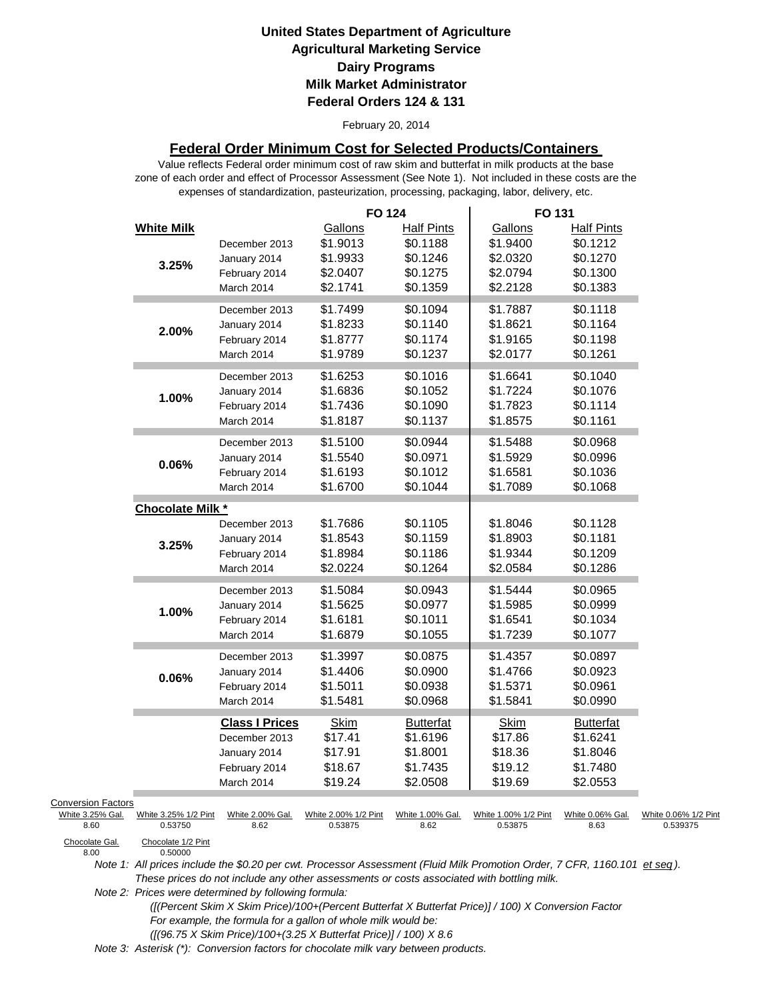#### February 20, 2014

### **Federal Order Minimum Cost for Selected Products/Containers**

zone of each order and effect of Processor Assessment (See Note 1). Not included in these costs are the expenses of standardization, pasteurization, processing, packaging, labor, delivery, etc. Value reflects Federal order minimum cost of raw skim and butterfat in milk products at the base

|                                                       |                                 |                                                                                       | <b>FO 124</b>                                           |                                                                   | FO 131                                                  |                                                                   |                                  |
|-------------------------------------------------------|---------------------------------|---------------------------------------------------------------------------------------|---------------------------------------------------------|-------------------------------------------------------------------|---------------------------------------------------------|-------------------------------------------------------------------|----------------------------------|
|                                                       | <b>White Milk</b><br>3.25%      | December 2013<br>January 2014<br>February 2014<br>March 2014                          | Gallons<br>\$1.9013<br>\$1.9933<br>\$2.0407<br>\$2.1741 | <b>Half Pints</b><br>\$0.1188<br>\$0.1246<br>\$0.1275<br>\$0.1359 | Gallons<br>\$1.9400<br>\$2.0320<br>\$2.0794<br>\$2.2128 | <b>Half Pints</b><br>\$0.1212<br>\$0.1270<br>\$0.1300<br>\$0.1383 |                                  |
|                                                       | 2.00%                           | December 2013<br>January 2014<br>February 2014<br>March 2014                          | \$1.7499<br>\$1.8233<br>\$1.8777<br>\$1.9789            | \$0.1094<br>\$0.1140<br>\$0.1174<br>\$0.1237                      | \$1.7887<br>\$1.8621<br>\$1.9165<br>\$2.0177            | \$0.1118<br>\$0.1164<br>\$0.1198<br>\$0.1261                      |                                  |
|                                                       | 1.00%                           | December 2013<br>January 2014<br>February 2014<br>March 2014                          | \$1.6253<br>\$1.6836<br>\$1.7436<br>\$1.8187            | \$0.1016<br>\$0.1052<br>\$0.1090<br>\$0.1137                      | \$1.6641<br>\$1.7224<br>\$1.7823<br>\$1.8575            | \$0.1040<br>\$0.1076<br>\$0.1114<br>\$0.1161                      |                                  |
|                                                       | $0.06\%$                        | December 2013<br>January 2014<br>February 2014<br>March 2014                          | \$1.5100<br>\$1.5540<br>\$1.6193<br>\$1.6700            | \$0.0944<br>\$0.0971<br>\$0.1012<br>\$0.1044                      | \$1.5488<br>\$1.5929<br>\$1.6581<br>\$1.7089            | \$0.0968<br>\$0.0996<br>\$0.1036<br>\$0.1068                      |                                  |
|                                                       | Chocolate Milk *                |                                                                                       |                                                         |                                                                   |                                                         |                                                                   |                                  |
|                                                       | 3.25%                           | December 2013<br>January 2014<br>February 2014<br>March 2014                          | \$1.7686<br>\$1.8543<br>\$1.8984<br>\$2.0224            | \$0.1105<br>\$0.1159<br>\$0.1186<br>\$0.1264                      | \$1.8046<br>\$1.8903<br>\$1.9344<br>\$2.0584            | \$0.1128<br>\$0.1181<br>\$0.1209<br>\$0.1286                      |                                  |
|                                                       | 1.00%                           | December 2013<br>January 2014<br>February 2014<br>March 2014                          | \$1.5084<br>\$1.5625<br>\$1.6181<br>\$1.6879            | \$0.0943<br>\$0.0977<br>\$0.1011<br>\$0.1055                      | \$1.5444<br>\$1.5985<br>\$1.6541<br>\$1.7239            | \$0.0965<br>\$0.0999<br>\$0.1034<br>\$0.1077                      |                                  |
|                                                       | 0.06%                           | December 2013<br>January 2014<br>February 2014<br>March 2014                          | \$1.3997<br>\$1.4406<br>\$1.5011<br>\$1.5481            | \$0.0875<br>\$0.0900<br>\$0.0938<br>\$0.0968                      | \$1.4357<br>\$1.4766<br>\$1.5371<br>\$1.5841            | \$0.0897<br>\$0.0923<br>\$0.0961<br>\$0.0990                      |                                  |
|                                                       |                                 | <b>Class I Prices</b><br>December 2013<br>January 2014<br>February 2014<br>March 2014 | <b>Skim</b><br>\$17.41<br>\$17.91<br>\$18.67<br>\$19.24 | <b>Butterfat</b><br>\$1.6196<br>\$1.8001<br>\$1.7435<br>\$2.0508  | Skim<br>\$17.86<br>\$18.36<br>\$19.12<br>\$19.69        | <b>Butterfat</b><br>\$1.6241<br>\$1.8046<br>\$1.7480<br>\$2.0553  |                                  |
| <b>Conversion Factors</b><br>White 3.25% Gal.<br>8.60 | White 3.25% 1/2 Pint<br>0.53750 | White 2.00% Gal.<br>8.62                                                              | White 2.00% 1/2 Pint<br>0.53875                         | White 1.00% Gal.<br>8.62                                          | White 1.00% 1/2 Pint<br>0.53875                         | White 0.06% Gal.<br>8.63                                          | White 0.06% 1/2 Pint<br>0.539375 |
| Chocolate Gal.<br>8.00                                | Chocolate 1/2 Pint<br>0.50000   |                                                                                       |                                                         |                                                                   |                                                         |                                                                   |                                  |

Chocolate Gal.<br>8.00

*Note 1: All prices include the \$0.20 per cwt. Processor Assessment (Fluid Milk Promotion Order, 7 CFR, 1160.101 et seq ). These prices do not include any other assessments or costs associated with bottling milk.*

*Note 2: Prices were determined by following formula:* 

 *([(Percent Skim X Skim Price)/100+(Percent Butterfat X Butterfat Price)] / 100) X Conversion Factor For example, the formula for a gallon of whole milk would be: ([(96.75 X Skim Price)/100+(3.25 X Butterfat Price)] / 100) X 8.6*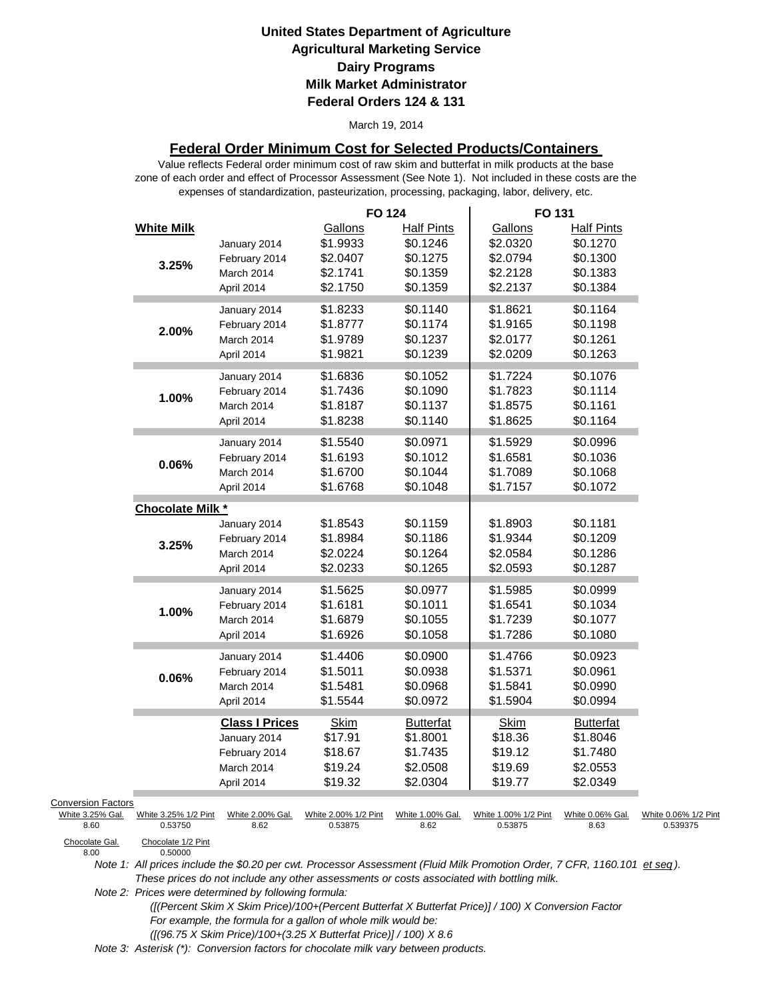#### March 19, 2014

### **Federal Order Minimum Cost for Selected Products/Containers**

zone of each order and effect of Processor Assessment (See Note 1). Not included in these costs are the expenses of standardization, pasteurization, processing, packaging, labor, delivery, etc. Value reflects Federal order minimum cost of raw skim and butterfat in milk products at the base

|                           |                                 |                          | <b>FO 124</b>                   |                          | FO 131                          |                          |                                  |
|---------------------------|---------------------------------|--------------------------|---------------------------------|--------------------------|---------------------------------|--------------------------|----------------------------------|
|                           | <b>White Milk</b>               |                          | Gallons                         | <b>Half Pints</b>        | Gallons                         | <b>Half Pints</b>        |                                  |
|                           |                                 | January 2014             | \$1.9933                        | \$0.1246                 | \$2.0320                        | \$0.1270                 |                                  |
|                           |                                 | February 2014            | \$2.0407                        | \$0.1275                 | \$2.0794                        | \$0.1300                 |                                  |
|                           | 3.25%                           | March 2014               | \$2.1741                        | \$0.1359                 | \$2.2128                        | \$0.1383                 |                                  |
|                           |                                 | April 2014               | \$2.1750                        | \$0.1359                 | \$2.2137                        | \$0.1384                 |                                  |
|                           |                                 | January 2014             | \$1.8233                        | \$0.1140                 | \$1.8621                        | \$0.1164                 |                                  |
|                           |                                 | February 2014            | \$1.8777                        | \$0.1174                 | \$1.9165                        | \$0.1198                 |                                  |
|                           | 2.00%                           | March 2014               | \$1.9789                        | \$0.1237                 | \$2.0177                        | \$0.1261                 |                                  |
|                           |                                 | April 2014               | \$1.9821                        | \$0.1239                 | \$2.0209                        | \$0.1263                 |                                  |
|                           |                                 | January 2014             | \$1.6836                        | \$0.1052                 | \$1.7224                        | \$0.1076                 |                                  |
|                           |                                 | February 2014            | \$1.7436                        | \$0.1090                 | \$1.7823                        | \$0.1114                 |                                  |
|                           | 1.00%                           | March 2014               | \$1.8187                        | \$0.1137                 | \$1.8575                        | \$0.1161                 |                                  |
|                           |                                 | April 2014               | \$1.8238                        | \$0.1140                 | \$1.8625                        | \$0.1164                 |                                  |
|                           |                                 | January 2014             | \$1.5540                        | \$0.0971                 | \$1.5929                        | \$0.0996                 |                                  |
|                           |                                 | February 2014            | \$1.6193                        | \$0.1012                 | \$1.6581                        | \$0.1036                 |                                  |
|                           | 0.06%                           | March 2014               | \$1.6700                        | \$0.1044                 | \$1.7089                        | \$0.1068                 |                                  |
|                           |                                 | April 2014               | \$1.6768                        | \$0.1048                 | \$1.7157                        | \$0.1072                 |                                  |
|                           | Chocolate Milk *                |                          |                                 |                          |                                 |                          |                                  |
|                           |                                 | January 2014             | \$1.8543                        | \$0.1159                 | \$1.8903                        | \$0.1181                 |                                  |
|                           | 3.25%                           | February 2014            | \$1.8984                        | \$0.1186                 | \$1.9344                        | \$0.1209                 |                                  |
|                           |                                 | March 2014               | \$2.0224                        | \$0.1264                 | \$2.0584                        | \$0.1286                 |                                  |
|                           |                                 | April 2014               | \$2.0233                        | \$0.1265                 | \$2.0593                        | \$0.1287                 |                                  |
|                           |                                 | January 2014             | \$1.5625                        | \$0.0977                 | \$1.5985                        | \$0.0999                 |                                  |
|                           | 1.00%                           | February 2014            | \$1.6181                        | \$0.1011                 | \$1.6541                        | \$0.1034                 |                                  |
|                           |                                 | March 2014               | \$1.6879                        | \$0.1055                 | \$1.7239                        | \$0.1077                 |                                  |
|                           |                                 | April 2014               | \$1.6926                        | \$0.1058                 | \$1.7286                        | \$0.1080                 |                                  |
|                           |                                 | January 2014             | \$1.4406                        | \$0.0900                 | \$1.4766                        | \$0.0923                 |                                  |
|                           | 0.06%                           | February 2014            | \$1.5011                        | \$0.0938                 | \$1.5371                        | \$0.0961                 |                                  |
|                           |                                 | March 2014               | \$1.5481                        | \$0.0968                 | \$1.5841                        | \$0.0990                 |                                  |
|                           |                                 | April 2014               | \$1.5544                        | \$0.0972                 | \$1.5904                        | \$0.0994                 |                                  |
|                           |                                 | <b>Class I Prices</b>    | <b>Skim</b>                     | <b>Butterfat</b>         | Skim                            | <b>Butterfat</b>         |                                  |
|                           |                                 | January 2014             | \$17.91                         | \$1.8001                 | \$18.36                         | \$1.8046                 |                                  |
|                           |                                 | February 2014            | \$18.67                         | \$1.7435                 | \$19.12                         | \$1.7480                 |                                  |
|                           |                                 | March 2014               | \$19.24                         | \$2.0508                 | \$19.69                         | \$2.0553                 |                                  |
|                           |                                 | April 2014               | \$19.32                         | \$2.0304                 | \$19.77                         | \$2.0349                 |                                  |
| <b>Conversion Factors</b> |                                 |                          |                                 |                          |                                 |                          |                                  |
| White 3.25% Gal.<br>8.60  | White 3.25% 1/2 Pint<br>0.53750 | White 2.00% Gal.<br>8.62 | White 2.00% 1/2 Pint<br>0.53875 | White 1.00% Gal.<br>8.62 | White 1.00% 1/2 Pint<br>0.53875 | White 0.06% Gal.<br>8.63 | White 0.06% 1/2 Pint<br>0.539375 |
| Chocolate Gal             | Chocolate 1/2 Pint              |                          |                                 |                          |                                 |                          |                                  |

Chocolate Gal.<br>8.00

0.50000

*Note 1: All prices include the \$0.20 per cwt. Processor Assessment (Fluid Milk Promotion Order, 7 CFR, 1160.101 et seq ). These prices do not include any other assessments or costs associated with bottling milk.*

*Note 2: Prices were determined by following formula:* 

 *([(Percent Skim X Skim Price)/100+(Percent Butterfat X Butterfat Price)] / 100) X Conversion Factor For example, the formula for a gallon of whole milk would be: ([(96.75 X Skim Price)/100+(3.25 X Butterfat Price)] / 100) X 8.6*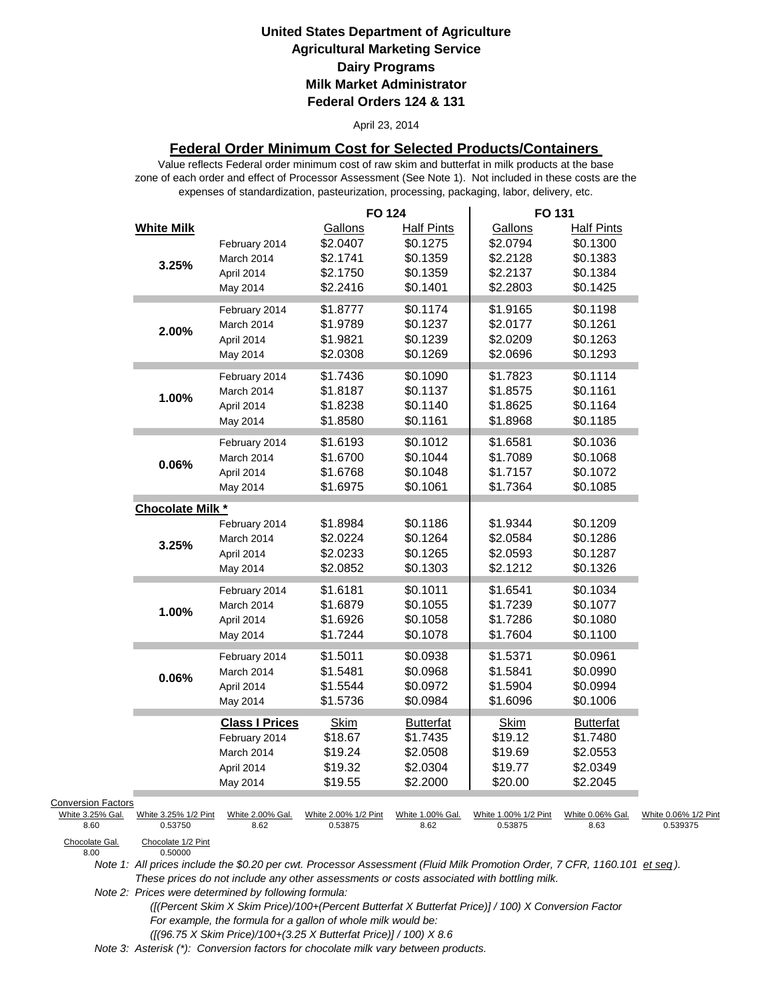#### April 23, 2014

### **Federal Order Minimum Cost for Selected Products/Containers**

zone of each order and effect of Processor Assessment (See Note 1). Not included in these costs are the expenses of standardization, pasteurization, processing, packaging, labor, delivery, etc. Value reflects Federal order minimum cost of raw skim and butterfat in milk products at the base

|                                                                         |                                                       |                                                                                | <b>FO 124</b>                                           |                                                                   | FO 131                                                  |                                                                   |                                  |
|-------------------------------------------------------------------------|-------------------------------------------------------|--------------------------------------------------------------------------------|---------------------------------------------------------|-------------------------------------------------------------------|---------------------------------------------------------|-------------------------------------------------------------------|----------------------------------|
|                                                                         | <b>White Milk</b><br>3.25%                            | February 2014<br>March 2014<br>April 2014<br>May 2014                          | Gallons<br>\$2.0407<br>\$2.1741<br>\$2.1750<br>\$2.2416 | <b>Half Pints</b><br>\$0.1275<br>\$0.1359<br>\$0.1359<br>\$0.1401 | Gallons<br>\$2.0794<br>\$2.2128<br>\$2.2137<br>\$2.2803 | <b>Half Pints</b><br>\$0.1300<br>\$0.1383<br>\$0.1384<br>\$0.1425 |                                  |
|                                                                         | 2.00%                                                 | February 2014<br>March 2014<br>April 2014<br>May 2014                          | \$1.8777<br>\$1.9789<br>\$1.9821<br>\$2.0308            | \$0.1174<br>\$0.1237<br>\$0.1239<br>\$0.1269                      | \$1.9165<br>\$2.0177<br>\$2.0209<br>\$2.0696            | \$0.1198<br>\$0.1261<br>\$0.1263<br>\$0.1293                      |                                  |
|                                                                         | 1.00%                                                 | February 2014<br>March 2014<br>April 2014<br>May 2014                          | \$1.7436<br>\$1.8187<br>\$1.8238<br>\$1.8580            | \$0.1090<br>\$0.1137<br>\$0.1140<br>\$0.1161                      | \$1.7823<br>\$1.8575<br>\$1.8625<br>\$1.8968            | \$0.1114<br>\$0.1161<br>\$0.1164<br>\$0.1185                      |                                  |
|                                                                         | $0.06\%$                                              | February 2014<br>March 2014<br>April 2014<br>May 2014                          | \$1.6193<br>\$1.6700<br>\$1.6768<br>\$1.6975            | \$0.1012<br>\$0.1044<br>\$0.1048<br>\$0.1061                      | \$1.6581<br>\$1.7089<br>\$1.7157<br>\$1.7364            | \$0.1036<br>\$0.1068<br>\$0.1072<br>\$0.1085                      |                                  |
|                                                                         | Chocolate Milk *                                      |                                                                                |                                                         |                                                                   |                                                         |                                                                   |                                  |
|                                                                         | 3.25%                                                 | February 2014<br>March 2014<br>April 2014<br>May 2014                          | \$1.8984<br>\$2.0224<br>\$2.0233<br>\$2.0852            | \$0.1186<br>\$0.1264<br>\$0.1265<br>\$0.1303                      | \$1.9344<br>\$2.0584<br>\$2.0593<br>\$2.1212            | \$0.1209<br>\$0.1286<br>\$0.1287<br>\$0.1326                      |                                  |
|                                                                         | 1.00%                                                 | February 2014<br>March 2014<br>April 2014<br>May 2014                          | \$1.6181<br>\$1.6879<br>\$1.6926<br>\$1.7244            | \$0.1011<br>\$0.1055<br>\$0.1058<br>\$0.1078                      | \$1.6541<br>\$1.7239<br>\$1.7286<br>\$1.7604            | \$0.1034<br>\$0.1077<br>\$0.1080<br>\$0.1100                      |                                  |
|                                                                         | 0.06%                                                 | February 2014<br>March 2014<br>April 2014<br>May 2014                          | \$1.5011<br>\$1.5481<br>\$1.5544<br>\$1.5736            | \$0.0938<br>\$0.0968<br>\$0.0972<br>\$0.0984                      | \$1.5371<br>\$1.5841<br>\$1.5904<br>\$1.6096            | \$0.0961<br>\$0.0990<br>\$0.0994<br>\$0.1006                      |                                  |
|                                                                         |                                                       | <b>Class I Prices</b><br>February 2014<br>March 2014<br>April 2014<br>May 2014 | <b>Skim</b><br>\$18.67<br>\$19.24<br>\$19.32<br>\$19.55 | <b>Butterfat</b><br>\$1.7435<br>\$2.0508<br>\$2.0304<br>\$2.2000  | Skim<br>\$19.12<br>\$19.69<br>\$19.77<br>\$20.00        | <b>Butterfat</b><br>\$1.7480<br>\$2.0553<br>\$2.0349<br>\$2.2045  |                                  |
| <b>Conversion Factors</b><br>White 3.25% Gal.<br>8.60<br>Chocolate Gal. | White 3.25% 1/2 Pint<br>0.53750<br>Chocolate 1/2 Pint | White 2.00% Gal.<br>8.62                                                       | White 2.00% 1/2 Pint<br>0.53875                         | White 1.00% Gal.<br>8.62                                          | White 1.00% 1/2 Pint<br>0.53875                         | White 0.06% Gal.<br>8.63                                          | White 0.06% 1/2 Pint<br>0.539375 |
| 8.00                                                                    | 0.50000                                               |                                                                                |                                                         |                                                                   |                                                         |                                                                   |                                  |

Chocolate Gal.<br>8.00

*Note 1: All prices include the \$0.20 per cwt. Processor Assessment (Fluid Milk Promotion Order, 7 CFR, 1160.101 et seq ). These prices do not include any other assessments or costs associated with bottling milk.*

*Note 2: Prices were determined by following formula:* 

 *([(Percent Skim X Skim Price)/100+(Percent Butterfat X Butterfat Price)] / 100) X Conversion Factor For example, the formula for a gallon of whole milk would be: ([(96.75 X Skim Price)/100+(3.25 X Butterfat Price)] / 100) X 8.6*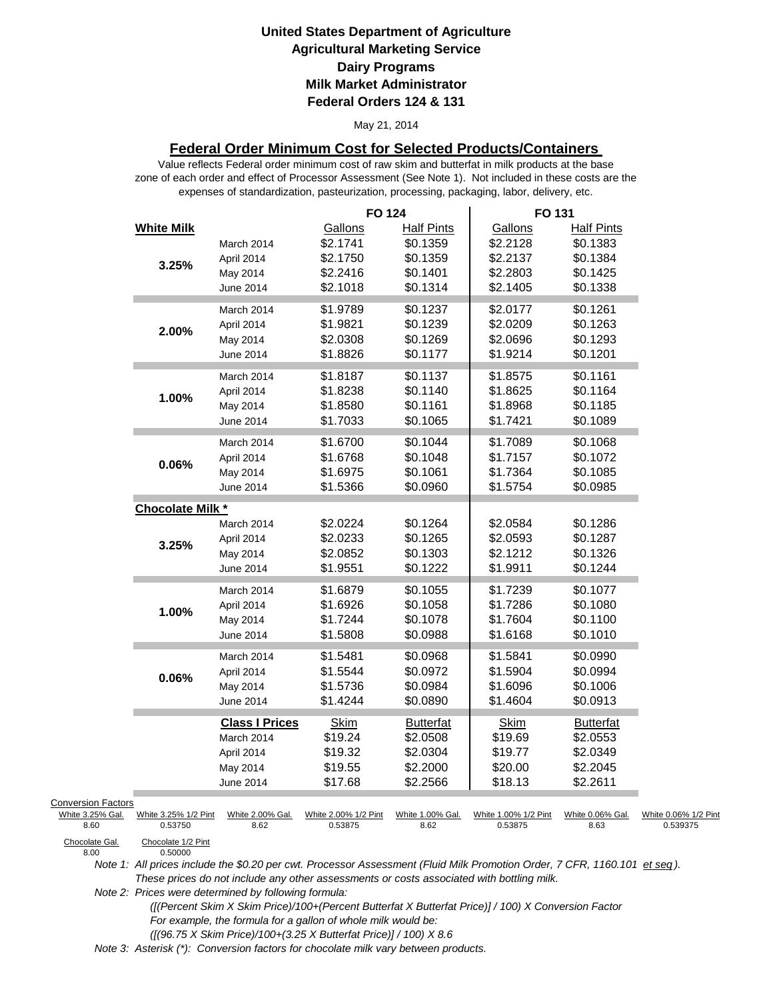#### May 21, 2014

### **Federal Order Minimum Cost for Selected Products/Containers**

zone of each order and effect of Processor Assessment (See Note 1). Not included in these costs are the expenses of standardization, pasteurization, processing, packaging, labor, delivery, etc. Value reflects Federal order minimum cost of raw skim and butterfat in milk products at the base

|                           |                                 |                          | <b>FO 124</b>                   |                          | FO 131                          |                          |                                  |
|---------------------------|---------------------------------|--------------------------|---------------------------------|--------------------------|---------------------------------|--------------------------|----------------------------------|
|                           | <b>White Milk</b>               |                          | Gallons                         | <b>Half Pints</b>        | Gallons                         | <b>Half Pints</b>        |                                  |
|                           |                                 | March 2014               | \$2.1741                        | \$0.1359                 | \$2.2128                        | \$0.1383                 |                                  |
|                           | 3.25%                           | April 2014               | \$2.1750                        | \$0.1359                 | \$2.2137                        | \$0.1384                 |                                  |
|                           |                                 | May 2014                 | \$2.2416                        | \$0.1401                 | \$2.2803                        | \$0.1425                 |                                  |
|                           |                                 | June 2014                | \$2.1018                        | \$0.1314                 | \$2.1405                        | \$0.1338                 |                                  |
|                           |                                 | March 2014               | \$1.9789                        | \$0.1237                 | \$2.0177                        | \$0.1261                 |                                  |
|                           |                                 | April 2014               | \$1.9821                        | \$0.1239                 | \$2.0209                        | \$0.1263                 |                                  |
|                           | 2.00%                           | May 2014                 | \$2.0308                        | \$0.1269                 | \$2.0696                        | \$0.1293                 |                                  |
|                           |                                 | June 2014                | \$1.8826                        | \$0.1177                 | \$1.9214                        | \$0.1201                 |                                  |
|                           |                                 | March 2014               | \$1.8187                        | \$0.1137                 | \$1.8575                        | \$0.1161                 |                                  |
|                           |                                 | April 2014               | \$1.8238                        | \$0.1140                 | \$1.8625                        | \$0.1164                 |                                  |
|                           | 1.00%                           | May 2014                 | \$1.8580                        | \$0.1161                 | \$1.8968                        | \$0.1185                 |                                  |
|                           |                                 | June 2014                | \$1.7033                        | \$0.1065                 | \$1.7421                        | \$0.1089                 |                                  |
|                           |                                 |                          |                                 |                          |                                 |                          |                                  |
|                           |                                 | March 2014               | \$1.6700                        | \$0.1044                 | \$1.7089                        | \$0.1068                 |                                  |
|                           | 0.06%                           | April 2014               | \$1.6768                        | \$0.1048                 | \$1.7157                        | \$0.1072                 |                                  |
|                           |                                 | May 2014                 | \$1.6975                        | \$0.1061                 | \$1.7364                        | \$0.1085                 |                                  |
|                           |                                 | June 2014                | \$1.5366                        | \$0.0960                 | \$1.5754                        | \$0.0985                 |                                  |
|                           | Chocolate Milk *                |                          |                                 |                          |                                 |                          |                                  |
|                           |                                 | March 2014               | \$2.0224                        | \$0.1264                 | \$2.0584                        | \$0.1286                 |                                  |
|                           | 3.25%                           | April 2014               | \$2.0233                        | \$0.1265                 | \$2.0593                        | \$0.1287                 |                                  |
|                           |                                 | May 2014                 | \$2.0852                        | \$0.1303                 | \$2.1212                        | \$0.1326                 |                                  |
|                           |                                 | June 2014                | \$1.9551                        | \$0.1222                 | \$1.9911                        | \$0.1244                 |                                  |
|                           |                                 | March 2014               | \$1.6879                        | \$0.1055                 | \$1.7239                        | \$0.1077                 |                                  |
|                           |                                 | April 2014               | \$1.6926                        | \$0.1058                 | \$1.7286                        | \$0.1080                 |                                  |
|                           | 1.00%                           | May 2014                 | \$1.7244                        | \$0.1078                 | \$1.7604                        | \$0.1100                 |                                  |
|                           |                                 | June 2014                | \$1.5808                        | \$0.0988                 | \$1.6168                        | \$0.1010                 |                                  |
|                           |                                 | March 2014               | \$1.5481                        | \$0.0968                 | \$1.5841                        | \$0.0990                 |                                  |
|                           |                                 | April 2014               | \$1.5544                        | \$0.0972                 | \$1.5904                        | \$0.0994                 |                                  |
|                           | 0.06%                           | May 2014                 | \$1.5736                        | \$0.0984                 | \$1.6096                        | \$0.1006                 |                                  |
|                           |                                 | June 2014                | \$1.4244                        | \$0.0890                 | \$1.4604                        | \$0.0913                 |                                  |
|                           |                                 | <b>Class I Prices</b>    | <b>Skim</b>                     | <b>Butterfat</b>         | <b>Skim</b>                     | <b>Butterfat</b>         |                                  |
|                           |                                 | March 2014               | \$19.24                         | \$2.0508                 | \$19.69                         | \$2.0553                 |                                  |
|                           |                                 | April 2014               | \$19.32                         | \$2.0304                 | \$19.77                         | \$2.0349                 |                                  |
|                           |                                 | May 2014                 | \$19.55                         | \$2.2000                 | \$20.00                         | \$2.2045                 |                                  |
|                           |                                 | June 2014                | \$17.68                         | \$2.2566                 | \$18.13                         | \$2.2611                 |                                  |
| <b>Conversion Factors</b> |                                 |                          |                                 |                          |                                 |                          |                                  |
| White 3.25% Gal.<br>8.60  | White 3.25% 1/2 Pint<br>0.53750 | White 2.00% Gal.<br>8.62 | White 2.00% 1/2 Pint<br>0.53875 | White 1.00% Gal.<br>8.62 | White 1.00% 1/2 Pint<br>0.53875 | White 0.06% Gal.<br>8.63 | White 0.06% 1/2 Pint<br>0.539375 |
| Chocolate Gal.            | Chocolate 1/2 Pint              |                          |                                 |                          |                                 |                          |                                  |
| 8.00                      | 0.50000                         |                          |                                 |                          |                                 |                          |                                  |

*Note 1: All prices include the \$0.20 per cwt. Processor Assessment (Fluid Milk Promotion Order, 7 CFR, 1160.101 et seq ). These prices do not include any other assessments or costs associated with bottling milk.*

*Note 2: Prices were determined by following formula:* 

 *([(Percent Skim X Skim Price)/100+(Percent Butterfat X Butterfat Price)] / 100) X Conversion Factor For example, the formula for a gallon of whole milk would be: ([(96.75 X Skim Price)/100+(3.25 X Butterfat Price)] / 100) X 8.6*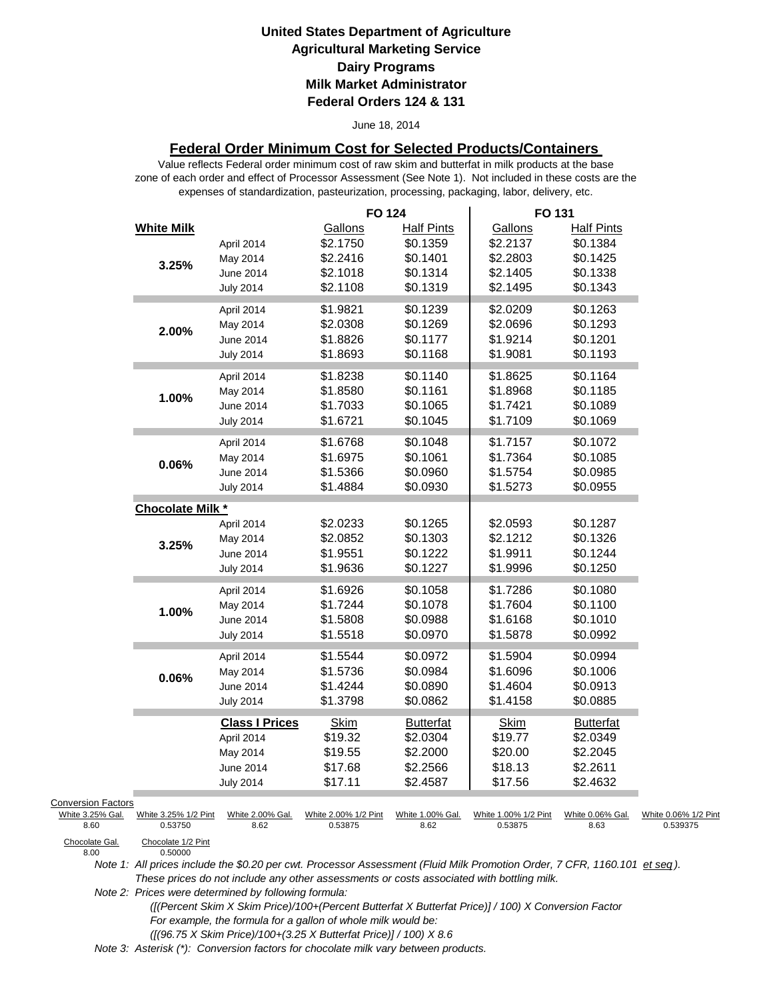#### June 18, 2014

### **Federal Order Minimum Cost for Selected Products/Containers**

zone of each order and effect of Processor Assessment (See Note 1). Not included in these costs are the expenses of standardization, pasteurization, processing, packaging, labor, delivery, etc. Value reflects Federal order minimum cost of raw skim and butterfat in milk products at the base

|                           |                         |                       | <b>FO 124</b>        |                   | FO 131               |                   |                      |
|---------------------------|-------------------------|-----------------------|----------------------|-------------------|----------------------|-------------------|----------------------|
|                           | <b>White Milk</b>       |                       | Gallons              | <b>Half Pints</b> | Gallons              | <b>Half Pints</b> |                      |
|                           |                         | April 2014            | \$2.1750             | \$0.1359          | \$2.2137             | \$0.1384          |                      |
|                           | 3.25%                   | May 2014              | \$2.2416             | \$0.1401          | \$2.2803             | \$0.1425          |                      |
|                           |                         | June 2014             | \$2.1018             | \$0.1314          | \$2.1405             | \$0.1338          |                      |
|                           |                         | <b>July 2014</b>      | \$2.1108             | \$0.1319          | \$2.1495             | \$0.1343          |                      |
|                           |                         | April 2014            | \$1.9821             | \$0.1239          | \$2.0209             | \$0.1263          |                      |
|                           |                         | May 2014              | \$2.0308             | \$0.1269          | \$2.0696             | \$0.1293          |                      |
|                           | 2.00%                   | June 2014             | \$1.8826             | \$0.1177          | \$1.9214             | \$0.1201          |                      |
|                           |                         | <b>July 2014</b>      | \$1.8693             | \$0.1168          | \$1.9081             | \$0.1193          |                      |
|                           |                         | April 2014            | \$1.8238             | \$0.1140          | \$1.8625             | \$0.1164          |                      |
|                           |                         | May 2014              | \$1.8580             | \$0.1161          | \$1.8968             | \$0.1185          |                      |
|                           | 1.00%                   | June 2014             | \$1.7033             | \$0.1065          | \$1.7421             | \$0.1089          |                      |
|                           |                         | <b>July 2014</b>      | \$1.6721             | \$0.1045          | \$1.7109             | \$0.1069          |                      |
|                           |                         | April 2014            | \$1.6768             | \$0.1048          | \$1.7157             | \$0.1072          |                      |
|                           |                         | May 2014              | \$1.6975             | \$0.1061          | \$1.7364             | \$0.1085          |                      |
|                           | 0.06%                   | June 2014             | \$1.5366             | \$0.0960          | \$1.5754             | \$0.0985          |                      |
|                           |                         | <b>July 2014</b>      | \$1.4884             | \$0.0930          | \$1.5273             | \$0.0955          |                      |
|                           | <b>Chocolate Milk *</b> |                       |                      |                   |                      |                   |                      |
|                           |                         | April 2014            | \$2.0233             | \$0.1265          | \$2.0593             | \$0.1287          |                      |
|                           |                         | May 2014              | \$2.0852             | \$0.1303          | \$2.1212             | \$0.1326          |                      |
|                           | 3.25%                   | June 2014             | \$1.9551             | \$0.1222          | \$1.9911             | \$0.1244          |                      |
|                           |                         | <b>July 2014</b>      | \$1.9636             | \$0.1227          | \$1.9996             | \$0.1250          |                      |
|                           |                         | April 2014            | \$1.6926             | \$0.1058          | \$1.7286             | \$0.1080          |                      |
|                           |                         | May 2014              | \$1.7244             | \$0.1078          | \$1.7604             | \$0.1100          |                      |
|                           | 1.00%                   | June 2014             | \$1.5808             | \$0.0988          | \$1.6168             | \$0.1010          |                      |
|                           |                         | <b>July 2014</b>      | \$1.5518             | \$0.0970          | \$1.5878             | \$0.0992          |                      |
|                           |                         | April 2014            | \$1.5544             | \$0.0972          | \$1.5904             | \$0.0994          |                      |
|                           |                         | May 2014              | \$1.5736             | \$0.0984          | \$1.6096             | \$0.1006          |                      |
|                           | 0.06%                   | June 2014             | \$1.4244             | \$0.0890          | \$1.4604             | \$0.0913          |                      |
|                           |                         | <b>July 2014</b>      | \$1.3798             | \$0.0862          | \$1.4158             | \$0.0885          |                      |
|                           |                         | <b>Class I Prices</b> | <b>Skim</b>          | <b>Butterfat</b>  | Skim                 | <b>Butterfat</b>  |                      |
|                           |                         | April 2014            | \$19.32              | \$2.0304          | \$19.77              | \$2.0349          |                      |
|                           |                         | May 2014              | \$19.55              | \$2.2000          | \$20.00              | \$2.2045          |                      |
|                           |                         | June 2014             | \$17.68              | \$2.2566          | \$18.13              | \$2.2611          |                      |
|                           |                         | <b>July 2014</b>      | \$17.11              | \$2.4587          | \$17.56              | \$2.4632          |                      |
| <b>Conversion Factors</b> |                         |                       |                      |                   |                      |                   |                      |
| White 3.25% Gal.          | White 3.25% 1/2 Pint    | White 2.00% Gal.      | White 2.00% 1/2 Pint | White 1.00% Gal.  | White 1.00% 1/2 Pint | White 0.06% Gal.  | White 0.06% 1/2 Pint |
| 8.60                      | 0.53750                 | 8.62                  | 0.53875              | 8.62              | 0.53875              | 8.63              | 0.539375             |
| Chocolate Gal             | Chocolate 1/2 Pint      |                       |                      |                   |                      |                   |                      |

Chocolate Gal.<br>8.00

*Note 1: All prices include the \$0.20 per cwt. Processor Assessment (Fluid Milk Promotion Order, 7 CFR, 1160.101 et seq ). These prices do not include any other assessments or costs associated with bottling milk.*

*Note 2: Prices were determined by following formula:* 

0.50000

 *([(Percent Skim X Skim Price)/100+(Percent Butterfat X Butterfat Price)] / 100) X Conversion Factor For example, the formula for a gallon of whole milk would be: ([(96.75 X Skim Price)/100+(3.25 X Butterfat Price)] / 100) X 8.6*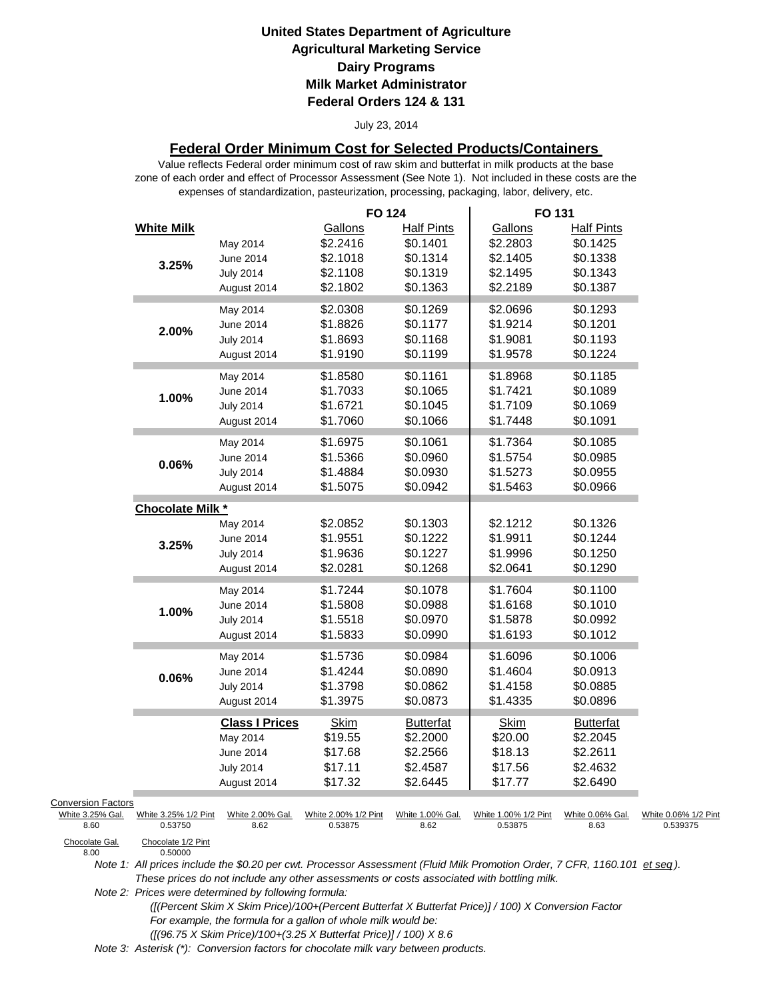#### July 23, 2014

### **Federal Order Minimum Cost for Selected Products/Containers**

zone of each order and effect of Processor Assessment (See Note 1). Not included in these costs are the expenses of standardization, pasteurization, processing, packaging, labor, delivery, etc. Value reflects Federal order minimum cost of raw skim and butterfat in milk products at the base

|                                                             |                          | <b>FO 124</b>                   |                          | FO 131                          |                          |                                  |
|-------------------------------------------------------------|--------------------------|---------------------------------|--------------------------|---------------------------------|--------------------------|----------------------------------|
| <b>White Milk</b>                                           |                          | Gallons                         | <b>Half Pints</b>        | Gallons                         | <b>Half Pints</b>        |                                  |
|                                                             | May 2014                 | \$2.2416                        | \$0.1401                 | \$2.2803                        | \$0.1425                 |                                  |
| 3.25%                                                       | June 2014                | \$2.1018                        | \$0.1314                 | \$2.1405                        | \$0.1338                 |                                  |
|                                                             | <b>July 2014</b>         | \$2.1108                        | \$0.1319                 | \$2.1495                        | \$0.1343                 |                                  |
|                                                             | August 2014              | \$2.1802                        | \$0.1363                 | \$2.2189                        | \$0.1387                 |                                  |
|                                                             | May 2014                 | \$2.0308                        | \$0.1269                 | \$2.0696                        | \$0.1293                 |                                  |
|                                                             | June 2014                | \$1.8826                        | \$0.1177                 | \$1.9214                        | \$0.1201                 |                                  |
| 2.00%                                                       | <b>July 2014</b>         | \$1.8693                        | \$0.1168                 | \$1.9081                        | \$0.1193                 |                                  |
|                                                             | August 2014              | \$1.9190                        | \$0.1199                 | \$1.9578                        | \$0.1224                 |                                  |
|                                                             |                          |                                 | \$0.1161                 |                                 | \$0.1185                 |                                  |
|                                                             | May 2014                 | \$1.8580<br>\$1.7033            | \$0.1065                 | \$1.8968                        | \$0.1089                 |                                  |
| 1.00%                                                       | June 2014                | \$1.6721                        |                          | \$1.7421                        |                          |                                  |
|                                                             | <b>July 2014</b>         |                                 | \$0.1045                 | \$1.7109                        | \$0.1069                 |                                  |
|                                                             | August 2014              | \$1.7060                        | \$0.1066                 | \$1.7448                        | \$0.1091                 |                                  |
|                                                             | May 2014                 | \$1.6975                        | \$0.1061                 | \$1.7364                        | \$0.1085                 |                                  |
| 0.06%                                                       | June 2014                | \$1.5366                        | \$0.0960                 | \$1.5754                        | \$0.0985                 |                                  |
|                                                             | <b>July 2014</b>         | \$1.4884                        | \$0.0930                 | \$1.5273                        | \$0.0955                 |                                  |
|                                                             | August 2014              | \$1.5075                        | \$0.0942                 | \$1.5463                        | \$0.0966                 |                                  |
| Chocolate Milk *                                            |                          |                                 |                          |                                 |                          |                                  |
|                                                             | May 2014                 | \$2.0852                        | \$0.1303                 | \$2.1212                        | \$0.1326                 |                                  |
| 3.25%                                                       | June 2014                | \$1.9551                        | \$0.1222                 | \$1.9911                        | \$0.1244                 |                                  |
|                                                             | <b>July 2014</b>         | \$1.9636                        | \$0.1227                 | \$1.9996                        | \$0.1250                 |                                  |
|                                                             | August 2014              | \$2.0281                        | \$0.1268                 | \$2.0641                        | \$0.1290                 |                                  |
|                                                             | May 2014                 | \$1.7244                        | \$0.1078                 | \$1.7604                        | \$0.1100                 |                                  |
|                                                             | June 2014                | \$1.5808                        | \$0.0988                 | \$1.6168                        | \$0.1010                 |                                  |
| 1.00%                                                       | <b>July 2014</b>         | \$1.5518                        | \$0.0970                 | \$1.5878                        | \$0.0992                 |                                  |
|                                                             | August 2014              | \$1.5833                        | \$0.0990                 | \$1.6193                        | \$0.1012                 |                                  |
|                                                             | May 2014                 | \$1.5736                        | \$0.0984                 | \$1.6096                        | \$0.1006                 |                                  |
|                                                             | June 2014                | \$1.4244                        | \$0.0890                 | \$1.4604                        | \$0.0913                 |                                  |
| 0.06%                                                       | <b>July 2014</b>         | \$1.3798                        | \$0.0862                 | \$1.4158                        | \$0.0885                 |                                  |
|                                                             | August 2014              | \$1.3975                        | \$0.0873                 | \$1.4335                        | \$0.0896                 |                                  |
|                                                             |                          |                                 |                          |                                 |                          |                                  |
|                                                             | <b>Class I Prices</b>    | <b>Skim</b>                     | <b>Butterfat</b>         | <b>Skim</b>                     | <b>Butterfat</b>         |                                  |
|                                                             | May 2014                 | \$19.55                         | \$2.2000                 | \$20.00                         | \$2.2045                 |                                  |
|                                                             | June 2014                | \$17.68                         | \$2.2566                 | \$18.13                         | \$2.2611                 |                                  |
|                                                             | <b>July 2014</b>         | \$17.11                         | \$2.4587                 | \$17.56                         | \$2.4632                 |                                  |
|                                                             | August 2014              | \$17.32                         | \$2.6445                 | \$17.77                         | \$2.6490                 |                                  |
| <b>Conversion Factors</b>                                   |                          |                                 |                          |                                 |                          |                                  |
| White 3.25% Gal.<br>White 3.25% 1/2 Pint<br>0.53750<br>8.60 | White 2.00% Gal.<br>8.62 | White 2.00% 1/2 Pint<br>0.53875 | White 1.00% Gal.<br>8.62 | White 1.00% 1/2 Pint<br>0.53875 | White 0.06% Gal.<br>8.63 | White 0.06% 1/2 Pint<br>0.539375 |
| Chocolate Gal.<br>Chocolate 1/2 Pint<br>8.00<br>0.50000     |                          |                                 |                          |                                 |                          |                                  |

*Note 1: All prices include the \$0.20 per cwt. Processor Assessment (Fluid Milk Promotion Order, 7 CFR, 1160.101 et seq ). These prices do not include any other assessments or costs associated with bottling milk.*

*Note 2: Prices were determined by following formula:* 

 *([(Percent Skim X Skim Price)/100+(Percent Butterfat X Butterfat Price)] / 100) X Conversion Factor For example, the formula for a gallon of whole milk would be: ([(96.75 X Skim Price)/100+(3.25 X Butterfat Price)] / 100) X 8.6*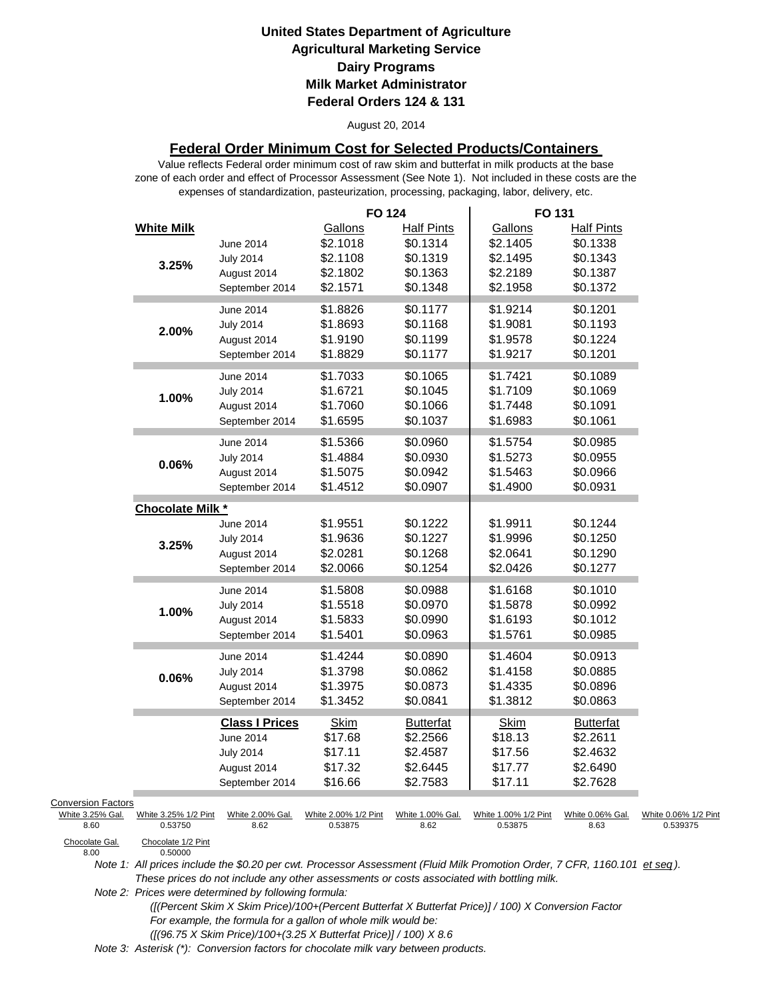#### August 20, 2014

### **Federal Order Minimum Cost for Selected Products/Containers**

zone of each order and effect of Processor Assessment (See Note 1). Not included in these costs are the expenses of standardization, pasteurization, processing, packaging, labor, delivery, etc. Value reflects Federal order minimum cost of raw skim and butterfat in milk products at the base

|                                                       |                                 |                                                                                         | <b>FO 124</b>                                           |                                                                   | FO 131                                                  |                                                                   |                                  |
|-------------------------------------------------------|---------------------------------|-----------------------------------------------------------------------------------------|---------------------------------------------------------|-------------------------------------------------------------------|---------------------------------------------------------|-------------------------------------------------------------------|----------------------------------|
|                                                       | <b>White Milk</b><br>3.25%      | June 2014<br><b>July 2014</b><br>August 2014<br>September 2014                          | Gallons<br>\$2.1018<br>\$2.1108<br>\$2.1802<br>\$2.1571 | <b>Half Pints</b><br>\$0.1314<br>\$0.1319<br>\$0.1363<br>\$0.1348 | Gallons<br>\$2.1405<br>\$2.1495<br>\$2.2189<br>\$2.1958 | <b>Half Pints</b><br>\$0.1338<br>\$0.1343<br>\$0.1387<br>\$0.1372 |                                  |
|                                                       | 2.00%                           | June 2014<br><b>July 2014</b><br>August 2014<br>September 2014                          | \$1.8826<br>\$1.8693<br>\$1.9190<br>\$1.8829            | \$0.1177<br>\$0.1168<br>\$0.1199<br>\$0.1177                      | \$1.9214<br>\$1.9081<br>\$1.9578<br>\$1.9217            | \$0.1201<br>\$0.1193<br>\$0.1224<br>\$0.1201                      |                                  |
|                                                       | 1.00%                           | June 2014<br><b>July 2014</b><br>August 2014<br>September 2014                          | \$1.7033<br>\$1.6721<br>\$1.7060<br>\$1.6595            | \$0.1065<br>\$0.1045<br>\$0.1066<br>\$0.1037                      | \$1.7421<br>\$1.7109<br>\$1.7448<br>\$1.6983            | \$0.1089<br>\$0.1069<br>\$0.1091<br>\$0.1061                      |                                  |
|                                                       | $0.06\%$                        | June 2014<br><b>July 2014</b><br>August 2014<br>September 2014                          | \$1.5366<br>\$1.4884<br>\$1.5075<br>\$1.4512            | \$0.0960<br>\$0.0930<br>\$0.0942<br>\$0.0907                      | \$1.5754<br>\$1.5273<br>\$1.5463<br>\$1.4900            | \$0.0985<br>\$0.0955<br>\$0.0966<br>\$0.0931                      |                                  |
|                                                       | Chocolate Milk *                |                                                                                         |                                                         |                                                                   |                                                         |                                                                   |                                  |
|                                                       | 3.25%                           | June 2014<br><b>July 2014</b><br>August 2014<br>September 2014                          | \$1.9551<br>\$1.9636<br>\$2.0281<br>\$2.0066            | \$0.1222<br>\$0.1227<br>\$0.1268<br>\$0.1254                      | \$1.9911<br>\$1.9996<br>\$2.0641<br>\$2.0426            | \$0.1244<br>\$0.1250<br>\$0.1290<br>\$0.1277                      |                                  |
|                                                       | 1.00%                           | June 2014<br><b>July 2014</b><br>August 2014<br>September 2014                          | \$1.5808<br>\$1.5518<br>\$1.5833<br>\$1.5401            | \$0.0988<br>\$0.0970<br>\$0.0990<br>\$0.0963                      | \$1.6168<br>\$1.5878<br>\$1.6193<br>\$1.5761            | \$0.1010<br>\$0.0992<br>\$0.1012<br>\$0.0985                      |                                  |
|                                                       | 0.06%                           | June 2014<br><b>July 2014</b><br>August 2014<br>September 2014                          | \$1.4244<br>\$1.3798<br>\$1.3975<br>\$1.3452            | \$0.0890<br>\$0.0862<br>\$0.0873<br>\$0.0841                      | \$1.4604<br>\$1.4158<br>\$1.4335<br>\$1.3812            | \$0.0913<br>\$0.0885<br>\$0.0896<br>\$0.0863                      |                                  |
|                                                       |                                 | <b>Class I Prices</b><br>June 2014<br><b>July 2014</b><br>August 2014<br>September 2014 | <b>Skim</b><br>\$17.68<br>\$17.11<br>\$17.32<br>\$16.66 | <b>Butterfat</b><br>\$2.2566<br>\$2.4587<br>\$2.6445<br>\$2.7583  | <b>Skim</b><br>\$18.13<br>\$17.56<br>\$17.77<br>\$17.11 | <b>Butterfat</b><br>\$2.2611<br>\$2.4632<br>\$2.6490<br>\$2.7628  |                                  |
| <b>Conversion Factors</b><br>White 3.25% Gal.<br>8.60 | White 3.25% 1/2 Pint<br>0.53750 | White 2.00% Gal.<br>8.62                                                                | White 2.00% 1/2 Pint<br>0.53875                         | White 1.00% Gal.<br>8.62                                          | White 1.00% 1/2 Pint<br>0.53875                         | White 0.06% Gal.<br>8.63                                          | White 0.06% 1/2 Pint<br>0.539375 |
| Chocolate Gal.<br>8.00                                | Chocolate 1/2 Pint<br>0.50000   |                                                                                         |                                                         |                                                                   |                                                         |                                                                   |                                  |

Chocolate Gal.<br>8.00

*Note 1: All prices include the \$0.20 per cwt. Processor Assessment (Fluid Milk Promotion Order, 7 CFR, 1160.101 et seq ). These prices do not include any other assessments or costs associated with bottling milk.*

*Note 2: Prices were determined by following formula:* 

 *([(Percent Skim X Skim Price)/100+(Percent Butterfat X Butterfat Price)] / 100) X Conversion Factor For example, the formula for a gallon of whole milk would be: ([(96.75 X Skim Price)/100+(3.25 X Butterfat Price)] / 100) X 8.6*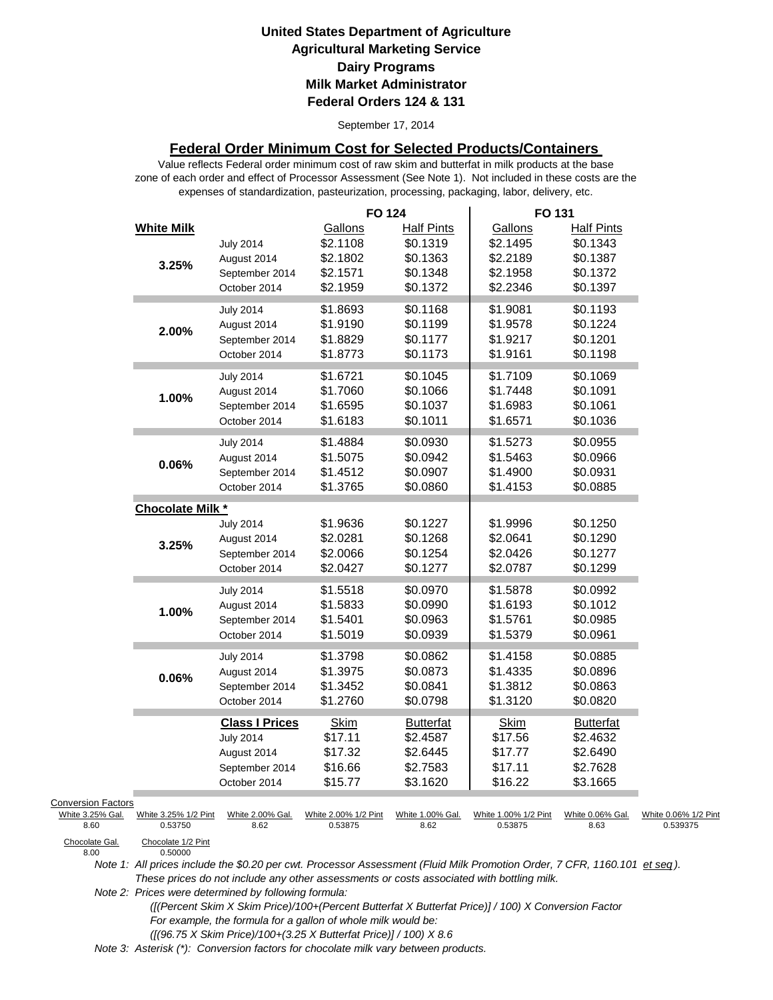September 17, 2014

### **Federal Order Minimum Cost for Selected Products/Containers**

zone of each order and effect of Processor Assessment (See Note 1). Not included in these costs are the expenses of standardization, pasteurization, processing, packaging, labor, delivery, etc. Value reflects Federal order minimum cost of raw skim and butterfat in milk products at the base

|                                                                                 |                                                                  |                                                                                            | <b>FO 124</b>                                           |                                                                   | FO 131                                                  |                                                                   |                                  |
|---------------------------------------------------------------------------------|------------------------------------------------------------------|--------------------------------------------------------------------------------------------|---------------------------------------------------------|-------------------------------------------------------------------|---------------------------------------------------------|-------------------------------------------------------------------|----------------------------------|
|                                                                                 | <b>White Milk</b><br>3.25%                                       | <b>July 2014</b><br>August 2014<br>September 2014<br>October 2014                          | Gallons<br>\$2.1108<br>\$2.1802<br>\$2.1571<br>\$2.1959 | <b>Half Pints</b><br>\$0.1319<br>\$0.1363<br>\$0.1348<br>\$0.1372 | Gallons<br>\$2.1495<br>\$2.2189<br>\$2.1958<br>\$2.2346 | <b>Half Pints</b><br>\$0.1343<br>\$0.1387<br>\$0.1372<br>\$0.1397 |                                  |
|                                                                                 | 2.00%                                                            | <b>July 2014</b><br>August 2014<br>September 2014<br>October 2014                          | \$1.8693<br>\$1.9190<br>\$1.8829<br>\$1.8773            | \$0.1168<br>\$0.1199<br>\$0.1177<br>\$0.1173                      | \$1.9081<br>\$1.9578<br>\$1.9217<br>\$1.9161            | \$0.1193<br>\$0.1224<br>\$0.1201<br>\$0.1198                      |                                  |
|                                                                                 | 1.00%                                                            | <b>July 2014</b><br>August 2014<br>September 2014<br>October 2014                          | \$1.6721<br>\$1.7060<br>\$1.6595<br>\$1.6183            | \$0.1045<br>\$0.1066<br>\$0.1037<br>\$0.1011                      | \$1.7109<br>\$1.7448<br>\$1.6983<br>\$1.6571            | \$0.1069<br>\$0.1091<br>\$0.1061<br>\$0.1036                      |                                  |
|                                                                                 | 0.06%                                                            | <b>July 2014</b><br>August 2014<br>September 2014<br>October 2014                          | \$1.4884<br>\$1.5075<br>\$1.4512<br>\$1.3765            | \$0.0930<br>\$0.0942<br>\$0.0907<br>\$0.0860                      | \$1.5273<br>\$1.5463<br>\$1.4900<br>\$1.4153            | \$0.0955<br>\$0.0966<br>\$0.0931<br>\$0.0885                      |                                  |
|                                                                                 | Chocolate Milk *                                                 |                                                                                            |                                                         |                                                                   |                                                         |                                                                   |                                  |
|                                                                                 | 3.25%                                                            | <b>July 2014</b><br>August 2014<br>September 2014<br>October 2014                          | \$1.9636<br>\$2.0281<br>\$2.0066<br>\$2.0427            | \$0.1227<br>\$0.1268<br>\$0.1254<br>\$0.1277                      | \$1.9996<br>\$2.0641<br>\$2.0426<br>\$2.0787            | \$0.1250<br>\$0.1290<br>\$0.1277<br>\$0.1299                      |                                  |
|                                                                                 | 1.00%                                                            | <b>July 2014</b><br>August 2014<br>September 2014<br>October 2014                          | \$1.5518<br>\$1.5833<br>\$1.5401<br>\$1.5019            | \$0.0970<br>\$0.0990<br>\$0.0963<br>\$0.0939                      | \$1.5878<br>\$1.6193<br>\$1.5761<br>\$1.5379            | \$0.0992<br>\$0.1012<br>\$0.0985<br>\$0.0961                      |                                  |
|                                                                                 | 0.06%                                                            | <b>July 2014</b><br>August 2014<br>September 2014<br>October 2014                          | \$1.3798<br>\$1.3975<br>\$1.3452<br>\$1.2760            | \$0.0862<br>\$0.0873<br>\$0.0841<br>\$0.0798                      | \$1.4158<br>\$1.4335<br>\$1.3812<br>\$1.3120            | \$0.0885<br>\$0.0896<br>\$0.0863<br>\$0.0820                      |                                  |
|                                                                                 |                                                                  | <b>Class I Prices</b><br><b>July 2014</b><br>August 2014<br>September 2014<br>October 2014 | <b>Skim</b><br>\$17.11<br>\$17.32<br>\$16.66<br>\$15.77 | <b>Butterfat</b><br>\$2.4587<br>\$2.6445<br>\$2.7583<br>\$3.1620  | <b>Skim</b><br>\$17.56<br>\$17.77<br>\$17.11<br>\$16.22 | <b>Butterfat</b><br>\$2.4632<br>\$2.6490<br>\$2.7628<br>\$3.1665  |                                  |
| <b>Conversion Factors</b><br>White 3.25% Gal.<br>8.60<br>Chocolate Gal.<br>8.00 | White 3.25% 1/2 Pint<br>0.53750<br>Chocolate 1/2 Pint<br>0.50000 | White 2.00% Gal.<br>8.62                                                                   | White 2.00% 1/2 Pint<br>0.53875                         | White 1.00% Gal.<br>8.62                                          | White 1.00% 1/2 Pint<br>0.53875                         | White 0.06% Gal.<br>8.63                                          | White 0.06% 1/2 Pint<br>0.539375 |

*Note 1: All prices include the \$0.20 per cwt. Processor Assessment (Fluid Milk Promotion Order, 7 CFR, 1160.101 et seq ). These prices do not include any other assessments or costs associated with bottling milk.*

*Note 2: Prices were determined by following formula:* 

 *([(Percent Skim X Skim Price)/100+(Percent Butterfat X Butterfat Price)] / 100) X Conversion Factor For example, the formula for a gallon of whole milk would be: ([(96.75 X Skim Price)/100+(3.25 X Butterfat Price)] / 100) X 8.6*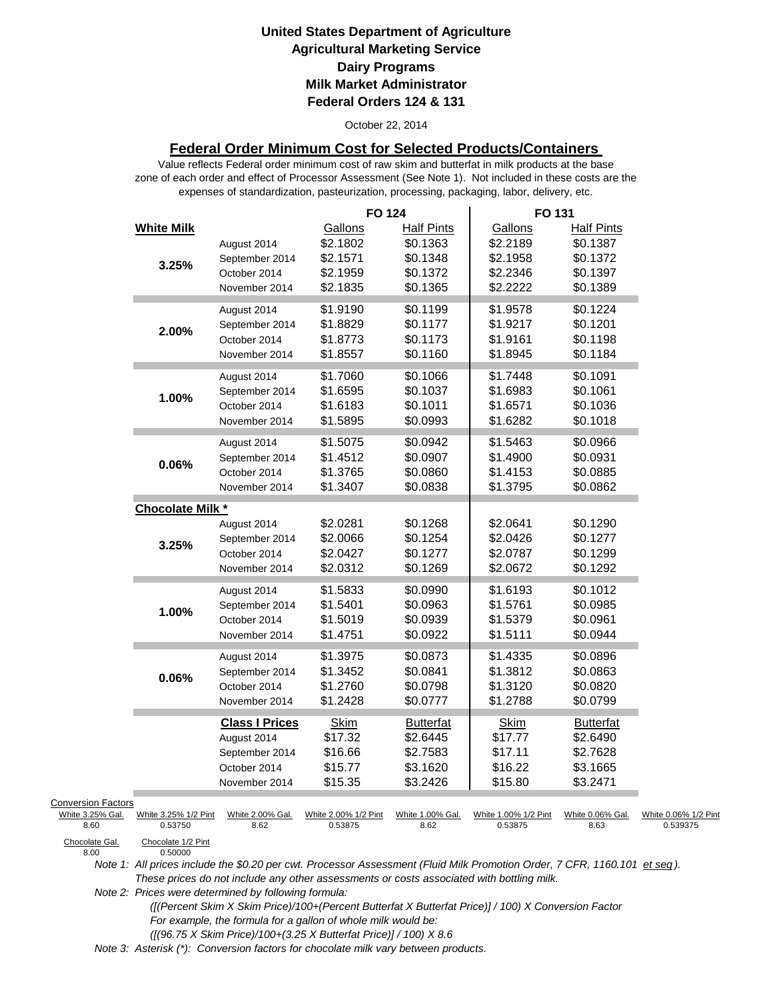#### October 22, 2014

### **Federal Order Minimum Cost for Selected Products/Containers**

zone of each order and effect of Processor Assessment (See Note 1). Not included in these costs are the expenses of standardization, pasteurization, processing, packaging, labor, delivery, etc. Value reflects Federal order minimum cost of raw skim and butterfat in milk products at the base

|                                               |                      |                                | <b>FO 124</b>        |                      | FO 131               |                   |                      |
|-----------------------------------------------|----------------------|--------------------------------|----------------------|----------------------|----------------------|-------------------|----------------------|
|                                               | <b>White Milk</b>    |                                | Gallons              | <b>Half Pints</b>    | Gallons              | <b>Half Pints</b> |                      |
|                                               |                      | August 2014                    | \$2.1802             | \$0.1363             | \$2.2189             | \$0.1387          |                      |
|                                               |                      | September 2014                 | \$2.1571             | \$0.1348             | \$2.1958             | \$0.1372          |                      |
|                                               | 3.25%                | October 2014                   | \$2.1959             | \$0.1372             | \$2.2346             | \$0.1397          |                      |
|                                               |                      | November 2014                  | \$2.1835             | \$0.1365             | \$2.2222             | \$0.1389          |                      |
|                                               |                      | August 2014                    | \$1.9190             | \$0.1199             | \$1.9578             | \$0.1224          |                      |
|                                               |                      | September 2014                 | \$1.8829             | \$0.1177             | \$1.9217             | \$0.1201          |                      |
|                                               | 2.00%                | October 2014                   | \$1.8773             | \$0.1173             | \$1.9161             | \$0.1198          |                      |
|                                               |                      | November 2014                  | \$1.8557             | \$0.1160             | \$1.8945             | \$0.1184          |                      |
|                                               |                      |                                |                      |                      |                      |                   |                      |
|                                               |                      | August 2014                    | \$1.7060             | \$0.1066             | \$1.7448             | \$0.1091          |                      |
|                                               | 1.00%                | September 2014                 | \$1.6595             | \$0.1037             | \$1.6983             | \$0.1061          |                      |
|                                               |                      | October 2014                   | \$1.6183             | \$0.1011             | \$1.6571             | \$0.1036          |                      |
|                                               |                      | November 2014                  | \$1.5895             | \$0.0993             | \$1.6282             | \$0.1018          |                      |
|                                               |                      | August 2014                    | \$1.5075             | \$0.0942             | \$1.5463             | \$0.0966          |                      |
|                                               |                      | September 2014                 | \$1.4512             | \$0.0907             | \$1.4900             | \$0.0931          |                      |
|                                               | 0.06%                | October 2014                   | \$1.3765             | \$0.0860             | \$1.4153             | \$0.0885          |                      |
|                                               |                      | November 2014                  | \$1.3407             | \$0.0838             | \$1.3795             | \$0.0862          |                      |
|                                               |                      |                                |                      |                      |                      |                   |                      |
|                                               | Chocolate Milk *     |                                |                      |                      | \$2.0641             | \$0.1290          |                      |
|                                               |                      | August 2014                    | \$2.0281<br>\$2.0066 | \$0.1268<br>\$0.1254 | \$2.0426             | \$0.1277          |                      |
|                                               | 3.25%                | September 2014<br>October 2014 | \$2.0427             | \$0.1277             | \$2.0787             | \$0.1299          |                      |
|                                               |                      |                                | \$2.0312             |                      | \$2.0672             | \$0.1292          |                      |
|                                               |                      | November 2014                  |                      | \$0.1269             |                      |                   |                      |
|                                               |                      | August 2014                    | \$1.5833             | \$0.0990             | \$1.6193             | \$0.1012          |                      |
|                                               | 1.00%                | September 2014                 | \$1.5401             | \$0.0963             | \$1.5761             | \$0.0985          |                      |
|                                               |                      | October 2014                   | \$1.5019             | \$0.0939             | \$1.5379             | \$0.0961          |                      |
|                                               |                      | November 2014                  | \$1.4751             | \$0.0922             | \$1.5111             | \$0.0944          |                      |
|                                               |                      | August 2014                    | \$1.3975             | \$0.0873             | \$1.4335             | \$0.0896          |                      |
|                                               |                      | September 2014                 | \$1.3452             | \$0.0841             | \$1.3812             | \$0.0863          |                      |
|                                               | 0.06%                | October 2014                   | \$1.2760             | \$0.0798             | \$1.3120             | \$0.0820          |                      |
|                                               |                      | November 2014                  | \$1.2428             | \$0.0777             | \$1.2788             | \$0.0799          |                      |
|                                               |                      | <b>Class I Prices</b>          | <b>Skim</b>          | <b>Butterfat</b>     | <b>Skim</b>          | <b>Butterfat</b>  |                      |
|                                               |                      | August 2014                    | \$17.32              | \$2.6445             | \$17.77              | \$2.6490          |                      |
|                                               |                      | September 2014                 | \$16.66              | \$2.7583             | \$17.11              | \$2.7628          |                      |
|                                               |                      | October 2014                   | \$15.77              | \$3.1620             | \$16.22              | \$3.1665          |                      |
|                                               |                      | November 2014                  | \$15.35              | \$3.2426             | \$15.80              | \$3.2471          |                      |
|                                               |                      |                                |                      |                      |                      |                   |                      |
| <b>Conversion Factors</b><br>White 3.25% Gal. | White 3.25% 1/2 Pint | White 2.00% Gal.               | White 2.00% 1/2 Pint | White 1.00% Gal.     | White 1.00% 1/2 Pint | White 0.06% Gal.  | White 0.06% 1/2 Pint |
| 8.60                                          | 0.53750              | 8.62                           | 0.53875              | 8.62                 | 0.53875              | 8.63              | 0.539375             |
| Chocolate Gal                                 | Chocolate 1/2 Pint   |                                |                      |                      |                      |                   |                      |

Chocolate Gal.<br>8.00

0.50000

*Note 1: All prices include the \$0.20 per cwt. Processor Assessment (Fluid Milk Promotion Order, 7 CFR, 1160.101 et seq ). These prices do not include any other assessments or costs associated with bottling milk.*

*Note 2: Prices were determined by following formula:* 

 *([(Percent Skim X Skim Price)/100+(Percent Butterfat X Butterfat Price)] / 100) X Conversion Factor For example, the formula for a gallon of whole milk would be: ([(96.75 X Skim Price)/100+(3.25 X Butterfat Price)] / 100) X 8.6*